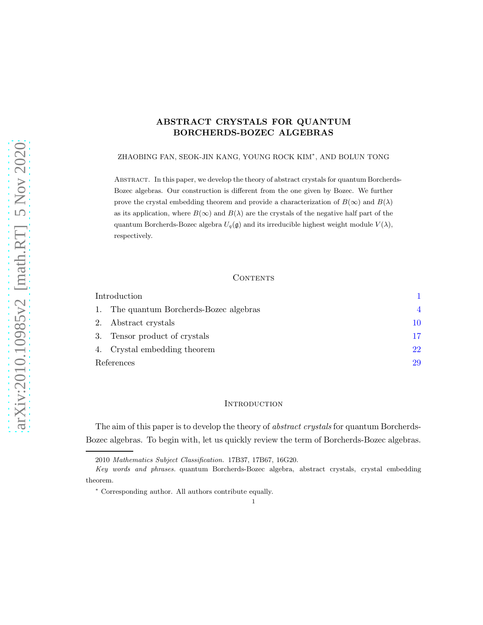# ABSTRACT CRYSTALS FOR QUANTUM BORCHERDS-BOZEC ALGEBRAS

ZHAOBING FAN, SEOK-JIN KANG, YOUNG ROCK KIM<sup>∗</sup> , AND BOLUN TONG

Abstract. In this paper, we develop the theory of abstract crystals for quantum Borcherds-Bozec algebras. Our construction is different from the one given by Bozec. We further prove the crystal embedding theorem and provide a characterization of  $B(\infty)$  and  $B(\lambda)$ as its application, where  $B(\infty)$  and  $B(\lambda)$  are the crystals of the negative half part of the quantum Borcherds-Bozec algebra  $U_q(\mathfrak{g})$  and its irreducible highest weight module  $V(\lambda)$ , respectively.

# **CONTENTS**

| Introduction |                                      |    |
|--------------|--------------------------------------|----|
|              | The quantum Borcherds-Bozec algebras |    |
|              | Abstract crystals<br>2.              | 10 |
|              | Tensor product of crystals<br>3.     | 17 |
|              | 4. Crystal embedding theorem         | 22 |
| References   |                                      | 29 |

# <span id="page-0-0"></span>**INTRODUCTION**

The aim of this paper is to develop the theory of *abstract crystals* for quantum Borcherds-Bozec algebras. To begin with, let us quickly review the term of Borcherds-Bozec algebras.

1

<sup>2010</sup> Mathematics Subject Classification. 17B37, 17B67, 16G20.

Key words and phrases. quantum Borcherds-Bozec algebra, abstract crystals, crystal embedding theorem.

<sup>∗</sup> Corresponding author. All authors contribute equally.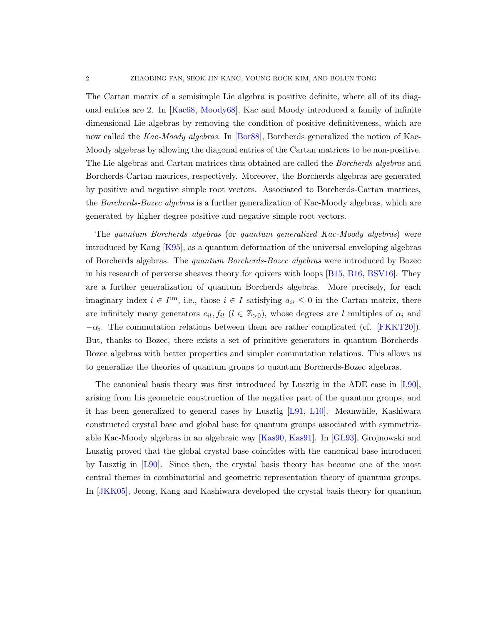The Cartan matrix of a semisimple Lie algebra is positive definite, where all of its diagonal entries are 2. In [\[Kac68,](#page-29-0) [Moody68\]](#page-29-1), Kac and Moody introduced a family of infinite dimensional Lie algebras by removing the condition of positive definitiveness, which are now called the Kac-Moody algebras. In [\[Bor88\]](#page-28-1), Borcherds generalized the notion of Kac-Moody algebras by allowing the diagonal entries of the Cartan matrices to be non-positive. The Lie algebras and Cartan matrices thus obtained are called the Borcherds algebras and Borcherds-Cartan matrices, respectively. Moreover, the Borcherds algebras are generated by positive and negative simple root vectors. Associated to Borcherds-Cartan matrices, the Borcherds-Bozec algebras is a further generalization of Kac-Moody algebras, which are generated by higher degree positive and negative simple root vectors.

The quantum Borcherds algebras (or quantum generalized Kac-Moody algebras) were introduced by Kang [\[K95\]](#page-29-2), as a quantum deformation of the universal enveloping algebras of Borcherds algebras. The quantum Borcherds-Bozec algebras were introduced by Bozec in his research of perverse sheaves theory for quivers with loops [\[B15,](#page-28-2) [B16,](#page-28-3) [BSV16\]](#page-28-4). They are a further generalization of quantum Borcherds algebras. More precisely, for each imaginary index  $i \in I^{\text{im}}$ , i.e., those  $i \in I$  satisfying  $a_{ii} \leq 0$  in the Cartan matrix, there are infinitely many generators  $e_{il}$ ,  $f_{il}$  ( $l \in \mathbb{Z}_{>0}$ ), whose degrees are l multiples of  $\alpha_i$  and  $-\alpha_i$ . The commutation relations between them are rather complicated (cf. [\[FKKT20\]](#page-28-5)). But, thanks to Bozec, there exists a set of primitive generators in quantum Borcherds-Bozec algebras with better properties and simpler commutation relations. This allows us to generalize the theories of quantum groups to quantum Borcherds-Bozec algebras.

The canonical basis theory was first introduced by Lusztig in the ADE case in [\[L90\]](#page-29-3), arising from his geometric construction of the negative part of the quantum groups, and it has been generalized to general cases by Lusztig [\[L91,](#page-29-4) [L10\]](#page-29-5). Meanwhile, Kashiwara constructed crystal base and global base for quantum groups associated with symmetrizable Kac-Moody algebras in an algebraic way [\[Kas90,](#page-29-6) [Kas91\]](#page-29-7). In [\[GL93\]](#page-28-6), Grojnowski and Lusztig proved that the global crystal base coincides with the canonical base introduced by Lusztig in [\[L90\]](#page-29-3). Since then, the crystal basis theory has become one of the most central themes in combinatorial and geometric representation theory of quantum groups. In [\[JKK05\]](#page-28-7), Jeong, Kang and Kashiwara developed the crystal basis theory for quantum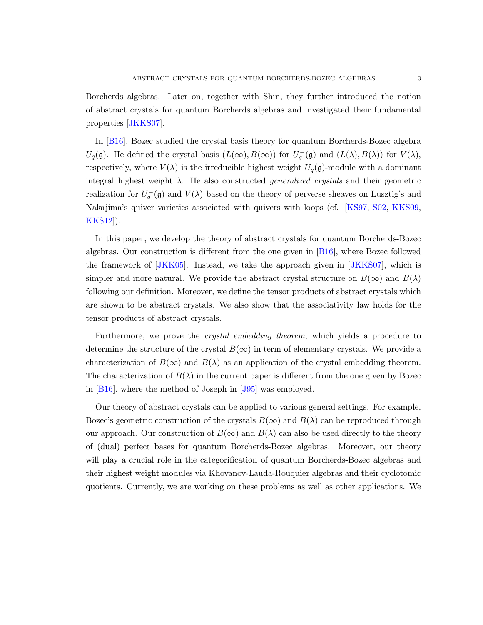Borcherds algebras. Later on, together with Shin, they further introduced the notion of abstract crystals for quantum Borcherds algebras and investigated their fundamental properties [\[JKKS07\]](#page-29-8).

In [\[B16\]](#page-28-3), Bozec studied the crystal basis theory for quantum Borcherds-Bozec algebra  $U_q(\mathfrak{g})$ . He defined the crystal basis  $(L(\infty), B(\infty))$  for  $U_q^-(\mathfrak{g})$  and  $(L(\lambda), B(\lambda))$  for  $V(\lambda)$ , respectively, where  $V(\lambda)$  is the irreducible highest weight  $U_q(\mathfrak{g})$ -module with a dominant integral highest weight  $\lambda$ . He also constructed *generalized crystals* and their geometric realization for  $U_q^-(\mathfrak{g})$  and  $V(\lambda)$  based on the theory of perverse sheaves on Lusztig's and Nakajima's quiver varieties associated with quivers with loops (cf. [\[KS97,](#page-29-9) [S02,](#page-29-10) [KKS09,](#page-29-11) [KKS12\]](#page-29-12)).

In this paper, we develop the theory of abstract crystals for quantum Borcherds-Bozec algebras. Our construction is different from the one given in [\[B16\]](#page-28-3), where Bozec followed the framework of [\[JKK05\]](#page-28-7). Instead, we take the approach given in [\[JKKS07\]](#page-29-8), which is simpler and more natural. We provide the abstract crystal structure on  $B(\infty)$  and  $B(\lambda)$ following our definition. Moreover, we define the tensor products of abstract crystals which are shown to be abstract crystals. We also show that the associativity law holds for the tensor products of abstract crystals.

Furthermore, we prove the crystal embedding theorem, which yields a procedure to determine the structure of the crystal  $B(\infty)$  in term of elementary crystals. We provide a characterization of  $B(\infty)$  and  $B(\lambda)$  as an application of the crystal embedding theorem. The characterization of  $B(\lambda)$  in the current paper is different from the one given by Bozec in [\[B16\]](#page-28-3), where the method of Joseph in [\[J95\]](#page-29-13) was employed.

Our theory of abstract crystals can be applied to various general settings. For example, Bozec's geometric construction of the crystals  $B(\infty)$  and  $B(\lambda)$  can be reproduced through our approach. Our construction of  $B(\infty)$  and  $B(\lambda)$  can also be used directly to the theory of (dual) perfect bases for quantum Borcherds-Bozec algebras. Moreover, our theory will play a crucial role in the categorification of quantum Borcherds-Bozec algebras and their highest weight modules via Khovanov-Lauda-Rouquier algebras and their cyclotomic quotients. Currently, we are working on these problems as well as other applications. We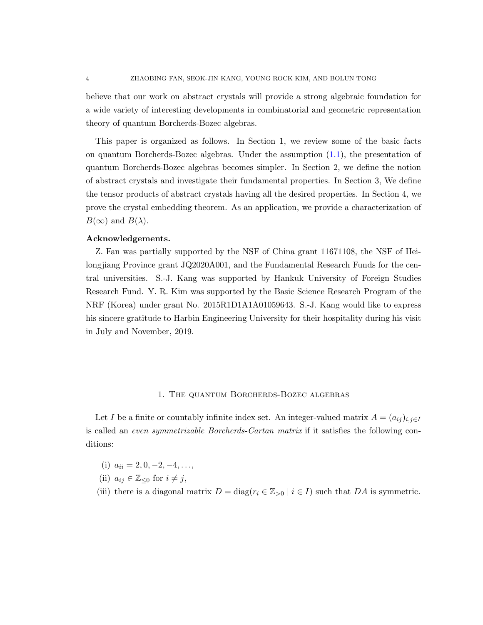believe that our work on abstract crystals will provide a strong algebraic foundation for a wide variety of interesting developments in combinatorial and geometric representation theory of quantum Borcherds-Bozec algebras.

This paper is organized as follows. In Section 1, we review some of the basic facts on quantum Borcherds-Bozec algebras. Under the assumption [\(1.1\)](#page-5-0), the presentation of quantum Borcherds-Bozec algebras becomes simpler. In Section 2, we define the notion of abstract crystals and investigate their fundamental properties. In Section 3, We define the tensor products of abstract crystals having all the desired properties. In Section 4, we prove the crystal embedding theorem. As an application, we provide a characterization of  $B(\infty)$  and  $B(\lambda)$ .

#### Acknowledgements.

Z. Fan was partially supported by the NSF of China grant 11671108, the NSF of Heilongjiang Province grant JQ2020A001, and the Fundamental Research Funds for the central universities. S.-J. Kang was supported by Hankuk University of Foreign Studies Research Fund. Y. R. Kim was supported by the Basic Science Research Program of the NRF (Korea) under grant No. 2015R1D1A1A01059643. S.-J. Kang would like to express his sincere gratitude to Harbin Engineering University for their hospitality during his visit in July and November, 2019.

# 1. The quantum Borcherds-Bozec algebras

<span id="page-3-0"></span>Let I be a finite or countably infinite index set. An integer-valued matrix  $A = (a_{ij})_{i,j\in I}$ is called an even symmetrizable Borcherds-Cartan matrix if it satisfies the following conditions:

- (i)  $a_{ii} = 2, 0, -2, -4, \ldots$
- (ii)  $a_{ij} \in \mathbb{Z}_{\leq 0}$  for  $i \neq j$ ,
- (iii) there is a diagonal matrix  $D = \text{diag}(r_i \in \mathbb{Z}_{>0} \mid i \in I)$  such that DA is symmetric.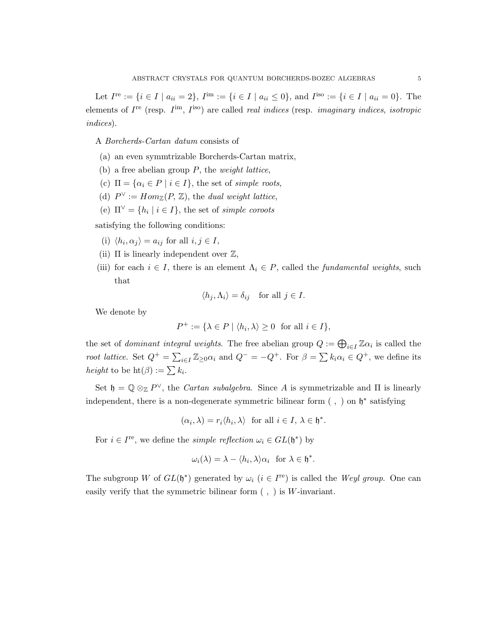Let  $I^{\text{re}} := \{i \in I \mid a_{ii} = 2\}, I^{\text{im}} := \{i \in I \mid a_{ii} \leq 0\}, \text{ and } I^{\text{iso}} := \{i \in I \mid a_{ii} = 0\}.$  The elements of  $I^{\text{re}}$  (resp.  $I^{\text{im}}$ ,  $I^{\text{iso}}$ ) are called *real indices* (resp. *imaginary indices*, *isotropic* indices).

A Borcherds-Cartan datum consists of

- (a) an even symmtrizable Borcherds-Cartan matrix,
- (b) a free abelian group  $P$ , the *weight lattice*,
- (c)  $\Pi = {\alpha_i \in P \mid i \in I}$ , the set of simple roots,
- (d)  $P^{\vee} := Hom_{\mathbb{Z}}(P, \mathbb{Z})$ , the *dual weight lattice*,
- (e)  $\Pi^{\vee} = \{h_i \mid i \in I\}$ , the set of *simple coroots*

satisfying the following conditions:

- (i)  $\langle h_i, \alpha_j \rangle = a_{ij}$  for all  $i, j \in I$ ,
- (ii)  $\Pi$  is linearly independent over  $\mathbb{Z}$ ,
- (iii) for each  $i \in I$ , there is an element  $\Lambda_i \in P$ , called the *fundamental weights*, such that

$$
\langle h_j, \Lambda_i \rangle = \delta_{ij} \quad \text{for all } j \in I.
$$

We denote by

$$
P^+ := \{ \lambda \in P \mid \langle h_i, \lambda \rangle \ge 0 \text{ for all } i \in I \},
$$

the set of *dominant integral weights*. The free abelian group  $Q := \bigoplus_{i \in I} \mathbb{Z} \alpha_i$  is called the root lattice. Set  $Q^+ = \sum_{i \in I} \mathbb{Z}_{\geq 0} \alpha_i$  and  $Q^- = -Q^+$ . For  $\beta = \sum k_i \alpha_i \in Q^+$ , we define its *height* to be  $\mathrm{ht}(\beta) := \sum k_i$ .

Set  $\mathfrak{h} = \mathbb{Q} \otimes_{\mathbb{Z}} P^{\vee}$ , the *Cartan subalgebra*. Since A is symmetrizable and  $\Pi$  is linearly independent, there is a non-degenerate symmetric bilinear form  $( , )$  on  $\mathfrak{h}^*$  satisfying

$$
(\alpha_i, \lambda) = r_i \langle h_i, \lambda \rangle
$$
 for all  $i \in I, \lambda \in \mathfrak{h}^*$ .

For  $i \in I^{\text{re}}$ , we define the *simple reflection*  $\omega_i \in GL(\mathfrak{h}^*)$  by

$$
\omega_i(\lambda) = \lambda - \langle h_i, \lambda \rangle \alpha_i \text{ for } \lambda \in \mathfrak{h}^*.
$$

The subgroup W of  $GL(\mathfrak{h}^*)$  generated by  $\omega_i$   $(i \in I^{\text{re}})$  is called the Weyl group. One can easily verify that the symmetric bilinear form  $( , )$  is W-invariant.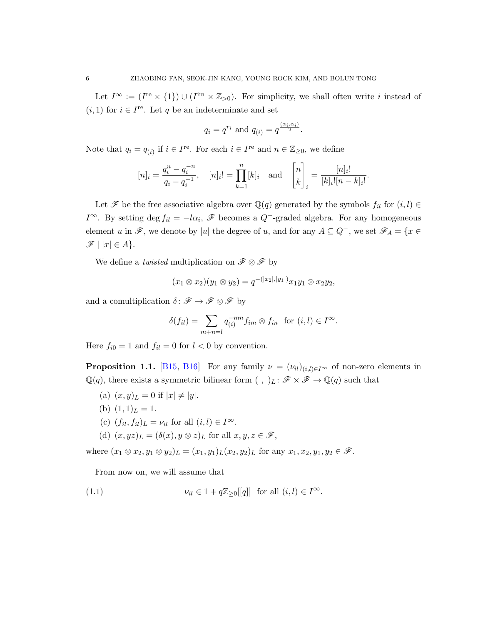Let  $I^{\infty} := (I^{\text{re}} \times \{1\}) \cup (I^{\text{im}} \times \mathbb{Z}_{>0})$ . For simplicity, we shall often write i instead of  $(i, 1)$  for  $i \in I^{\text{re}}$ . Let q be an indeterminate and set

$$
q_i = q^{r_i} \text{ and } q_{(i)} = q^{\frac{(\alpha_i, \alpha_i)}{2}}.
$$

Note that  $q_i = q_{(i)}$  if  $i \in I^{\text{re}}$ . For each  $i \in I^{\text{re}}$  and  $n \in \mathbb{Z}_{\geq 0}$ , we define

$$
[n]_i = \frac{q_i^n - q_i^{-n}}{q_i - q_i^{-1}}, \quad [n]_i! = \prod_{k=1}^n [k]_i \text{ and } \begin{bmatrix} n \\ k \end{bmatrix}_i = \frac{[n]_i!}{[k]_i! [n-k]_i!}.
$$

Let  $\mathscr F$  be the free associative algebra over  $\mathbb Q(q)$  generated by the symbols  $f_{il}$  for  $(i, l) \in$  $I^{\infty}$ . By setting deg  $f_{il} = -l\alpha_i$ ,  $\mathscr F$  becomes a  $Q^-$ -graded algebra. For any homogeneous element u in  $\mathscr{F}$ , we denote by |u| the degree of u, and for any  $A \subseteq Q^-$ , we set  $\mathscr{F}_A = \{x \in$  $\mathscr{F} \mid |x| \in A$ .

We define a *twisted* multiplication on  $\mathscr{F} \otimes \mathscr{F}$  by

$$
(x_1 \otimes x_2)(y_1 \otimes y_2) = q^{-(|x_2|, |y_1|)} x_1 y_1 \otimes x_2 y_2,
$$

and a comultiplication  $\delta: \mathscr{F} \to \mathscr{F} \otimes \mathscr{F}$  by

$$
\delta(f_{il}) = \sum_{m+n=l} q_{(i)}^{-mn} f_{im} \otimes f_{in} \text{ for } (i,l) \in I^{\infty}.
$$

Here  $f_{i0} = 1$  and  $f_{il} = 0$  for  $l < 0$  by convention.

**Proposition 1.1.** [\[B15,](#page-28-2) [B16\]](#page-28-3) For any family  $\nu = (\nu_{il})_{(i,l)\in I^{\infty}}$  of non-zero elements in  $\mathbb{Q}(q)$ , there exists a symmetric bilinear form  $( , )_L \colon \mathscr{F} \times \mathscr{F} \to \mathbb{Q}(q)$  such that

- (a)  $(x, y)_L = 0$  if  $|x| \neq |y|$ .
- (b)  $(1, 1)<sub>L</sub> = 1$ .
- (c)  $(f_{il}, f_{il})_L = \nu_{il}$  for all  $(i, l) \in I^{\infty}$ .
- (d)  $(x, yz)$ <sub>L</sub> =  $(\delta(x), y \otimes z)$ <sub>L</sub> for all  $x, y, z \in \mathscr{F}$ ,

where  $(x_1 \otimes x_2, y_1 \otimes y_2)_L = (x_1, y_1)_L (x_2, y_2)_L$  for any  $x_1, x_2, y_1, y_2 \in \mathscr{F}$ .

<span id="page-5-0"></span>From now on, we will assume that

(1.1) 
$$
\nu_{il} \in 1 + q \mathbb{Z}_{\geq 0}[[q]] \text{ for all } (i,l) \in I^{\infty}.
$$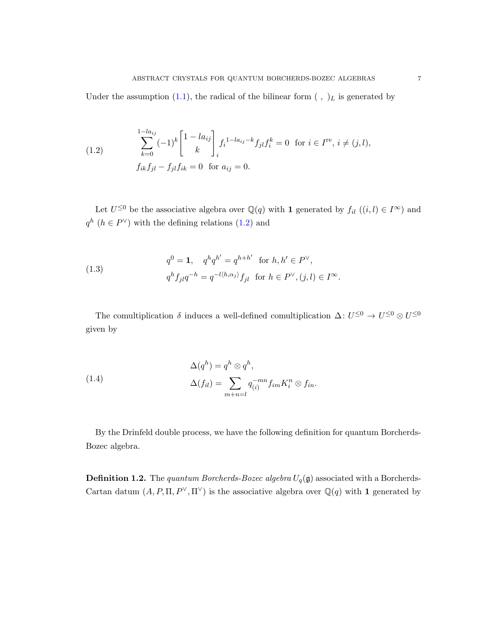Under the assumption [\(1.1\)](#page-5-0), the radical of the bilinear form  $( , )_L$  is generated by

<span id="page-6-0"></span>(1.2) 
$$
\sum_{k=0}^{1-l a_{ij}} (-1)^k \begin{bmatrix} 1 - l a_{ij} \\ k \end{bmatrix}_{i} f_i^{1-l a_{ij} - k} f_{jl} f_i^k = 0 \text{ for } i \in I^{\text{re}}, i \neq (j, l),
$$

$$
f_{ik} f_{jl} - f_{jl} f_{ik} = 0 \text{ for } a_{ij} = 0.
$$

Let  $U^{\leq 0}$  be the associative algebra over  $\mathbb{Q}(q)$  with 1 generated by  $f_{il}$   $((i, l) \in I^{\infty})$  and  $q^h$  ( $h \in P^{\vee}$ ) with the defining relations [\(1.2\)](#page-6-0) and

(1.3) 
$$
q^{0} = \mathbf{1}, \quad q^{h}q^{h'} = q^{h+h'} \text{ for } h, h' \in P^{\vee},
$$

$$
q^{h}f_{jl}q^{-h} = q^{-l\langle h, \alpha_{j} \rangle}f_{jl} \text{ for } h \in P^{\vee}, (j,l) \in I^{\infty}.
$$

The comultiplication  $\delta$  induces a well-defined comultiplication  $\Delta: U^{\leq 0} \to U^{\leq 0} \otimes U^{\leq 0}$ given by

(1.4) 
$$
\Delta(q^h) = q^h \otimes q^h,
$$

$$
\Delta(f_{il}) = \sum_{m+n=l} q_{(i)}^{-mn} f_{im} K_i^n \otimes f_{in}.
$$

By the Drinfeld double process, we have the following definition for quantum Borcherds-Bozec algebra.

**Definition 1.2.** The quantum Borcherds-Bozec algebra  $U_q(\mathfrak{g})$  associated with a Borcherds-Cartan datum  $(A, P, \Pi, P^{\vee}, \Pi^{\vee})$  is the associative algebra over  $\mathbb{Q}(q)$  with 1 generated by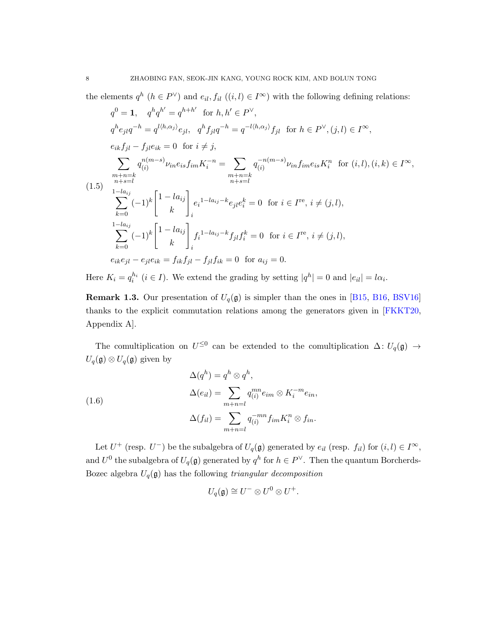the elements  $q^h$   $(h \in P^{\vee})$  and  $e_{il}$ ,  $f_{il}$   $((i, l) \in I^{\infty})$  with the following defining relations:

$$
q^{0} = 1, \quad q^{h}q^{h'} = q^{h+h'} \text{ for } h, h' \in P^{\vee},
$$
\n
$$
q^{h}e_{jl}q^{-h} = q^{l\langle h,\alpha_{j}\rangle}e_{jl}, \quad q^{h}f_{jl}q^{-h} = q^{-l\langle h,\alpha_{j}\rangle}f_{jl} \text{ for } h \in P^{\vee}, (j,l) \in I^{\infty},
$$
\n
$$
e_{ik}f_{jl} - f_{jl}e_{ik} = 0 \text{ for } i \neq j,
$$
\n
$$
\sum_{\substack{m+n=k \\ n+s=l}} q_{(i)}^{n(m-s)} \nu_{in}e_{is}f_{im}K_{i}^{-n} = \sum_{\substack{m+n=k \\ n+s=l}} q_{(i)}^{-n(m-s)} \nu_{in}f_{im}e_{is}K_{i}^{n} \text{ for } (i,l), (i,k) \in I^{\infty},
$$
\n
$$
(1.5) \quad \sum_{\substack{1-la_{ij} \\ k=0}}^{n+n=k} (-1)^{k} \begin{bmatrix} 1 - la_{ij} \\ k \end{bmatrix} e_{i}^{1-la_{ij} - k} e_{jl}e_{i}^{k} = 0 \text{ for } i \in I^{\text{re}}, i \neq (j,l),
$$
\n
$$
\sum_{k=0}^{1-la_{ij}} (-1)^{k} \begin{bmatrix} 1 - la_{ij} \\ k \end{bmatrix}_{i} f_{i}^{1-la_{ij} - k} f_{jl}f_{i}^{k} = 0 \text{ for } i \in I^{\text{re}}, i \neq (j,l),
$$
\n
$$
e_{ik}e_{jl} - e_{jl}e_{ik} = f_{ik}f_{jl} - f_{jl}f_{ik} = 0 \text{ for } a_{ij} = 0.
$$

Here  $K_i = q_i^{h_i}$   $(i \in I)$ . We extend the grading by setting  $|q^h| = 0$  and  $|e_{il}| = l\alpha_i$ .

**Remark 1.3.** Our presentation of  $U_q(\mathfrak{g})$  is simpler than the ones in [\[B15,](#page-28-2) [B16,](#page-28-3) [BSV16\]](#page-28-4) thanks to the explicit commutation relations among the generators given in [\[FKKT20,](#page-28-5) Appendix A].

The comultiplication on  $U^{\leq 0}$  can be extended to the comultiplication  $\Delta: U_q(\mathfrak{g}) \to$  $U_q({\mathfrak{g}})\otimes U_q({\mathfrak{g}})$  given by

(1.6)  
\n
$$
\Delta(q^h) = q^h \otimes q^h,
$$
\n
$$
\Delta(e_{il}) = \sum_{m+n=l} q_{(i)}^{mn} e_{im} \otimes K_i^{-m} e_{in},
$$
\n
$$
\Delta(f_{il}) = \sum_{m+n=l} q_{(i)}^{-mn} f_{im} K_i^n \otimes f_{in}.
$$

Let  $U^+$  (resp.  $U^-$ ) be the subalgebra of  $U_q(\mathfrak{g})$  generated by  $e_{il}$  (resp.  $f_{il}$ ) for  $(i, l) \in I^{\infty}$ , and  $U^0$  the subalgebra of  $U_q(\mathfrak{g})$  generated by  $q^h$  for  $h \in P^{\vee}$ . Then the quantum Borcherds-Bozec algebra  $U_q(\mathfrak{g})$  has the following triangular decomposition

$$
U_q(\mathfrak{g}) \cong U^- \otimes U^0 \otimes U^+.
$$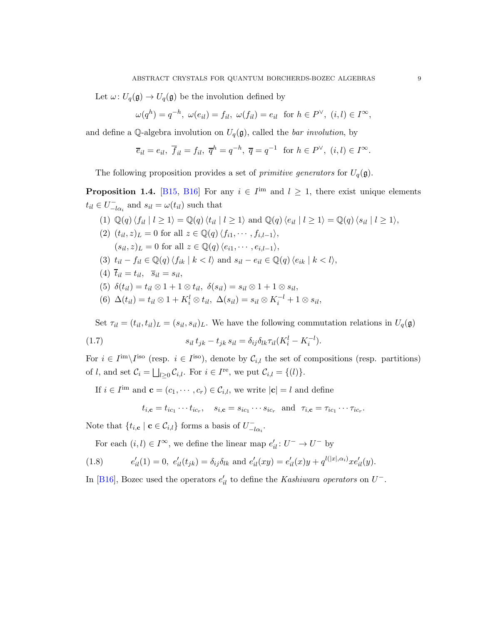Let  $\omega: U_q(\mathfrak{g}) \to U_q(\mathfrak{g})$  be the involution defined by

$$
\omega(q^h) = q^{-h}, \ \omega(e_{il}) = f_{il}, \ \omega(f_{il}) = e_{il} \ \text{ for } h \in P^{\vee}, \ (i, l) \in I^{\infty},
$$

and define a Q-algebra involution on  $U_q(\mathfrak{g})$ , called the *bar involution*, by

$$
\overline{e}_{il} = e_{il}, \overline{f}_{il} = f_{il}, \overline{q}^h = q^{-h}, \overline{q} = q^{-1} \text{ for } h \in P^{\vee}, (i,l) \in I^{\infty}.
$$

The following proposition provides a set of *primitive generators* for  $U_q(\mathfrak{g})$ .

**Proposition 1.4.** [\[B15,](#page-28-2) [B16\]](#page-28-3) For any  $i \in I^{\text{im}}$  and  $l \geq 1$ , there exist unique elements  $t_{il} \in U^-_{-i}$  $\bar{l}_{-l\alpha_i}$  and  $s_{il} = \omega(t_{il})$  such that

\n- (1) 
$$
\mathbb{Q}(q) \langle f_{il} \mid l \geq 1 \rangle = \mathbb{Q}(q) \langle t_{il} \mid l \geq 1 \rangle
$$
 and  $\mathbb{Q}(q) \langle e_{il} \mid l \geq 1 \rangle = \mathbb{Q}(q) \langle s_{il} \mid l \geq 1 \rangle$ ,
\n- (2)  $(t_{il}, z)_{L} = 0$  for all  $z \in \mathbb{Q}(q) \langle f_{i1}, \ldots, f_{i,l-1} \rangle$ ,
\n- ( $s_{il}, z)_{L} = 0$  for all  $z \in \mathbb{Q}(q) \langle e_{i1}, \ldots, e_{i,l-1} \rangle$ ,
\n- (3)  $t_{il} - f_{il} \in \mathbb{Q}(q) \langle f_{ik} \mid k < l \rangle$  and  $s_{il} - e_{il} \in \mathbb{Q}(q) \langle e_{ik} \mid k < l \rangle$ ,
\n- (4)  $\overline{t}_{il} = t_{il}, \overline{s}_{il} = s_{il},$
\n- (5)  $\delta(t_{il}) = t_{il} \otimes 1 + 1 \otimes t_{il}, \delta(s_{il}) = s_{il} \otimes 1 + 1 \otimes s_{il},$
\n- (6)  $\Delta(t_{il}) = t_{il} \otimes 1 + K_i^l \otimes t_{il}, \Delta(s_{il}) = s_{il} \otimes K_i^{-l} + 1 \otimes s_{il},$
\n

Set  $\tau_{il} = (t_{il}, t_{il})_L = (s_{il}, s_{il})_L$ . We have the following commutation relations in  $U_q(\mathfrak{g})$ 

(1.7) 
$$
s_{il} t_{jk} - t_{jk} s_{il} = \delta_{ij} \delta_{lk} \tau_{il} (K_i^l - K_i^{-l}).
$$

For  $i \in I^{\text{im}} \setminus I^{\text{iso}}$  (resp.  $i \in I^{\text{iso}}$ ), denote by  $\mathcal{C}_{i,l}$  the set of compositions (resp. partitions) of *l*, and set  $\mathcal{C}_i = \bigsqcup_{l \geq 0} \mathcal{C}_{i,l}$ . For  $i \in I^{\text{re}}$ , we put  $\mathcal{C}_{i,l} = \{(l)\}.$ 

If  $i \in I^{\text{im}}$  and  $\mathbf{c} = (c_1, \dots, c_r) \in C_{i,l}$ , we write  $|\mathbf{c}| = l$  and define

$$
t_{i,\mathbf{c}} = t_{ic_1} \cdots t_{ic_r}, \quad s_{i,\mathbf{c}} = s_{ic_1} \cdots s_{ic_r} \text{ and } \tau_{i,\mathbf{c}} = \tau_{ic_1} \cdots \tau_{ic_r}.
$$

Note that  $\{t_{i,c} \mid c \in \mathcal{C}_{i,l}\}\)$  forms a basis of  $U_{-i}^ \bar{l}_{-\bar{l}\alpha_i}$ .

For each  $(i, l) \in I^{\infty}$ , we define the linear map  $e'_{il} : U^- \to U^-$  by

(1.8) 
$$
e'_{il}(1) = 0, e'_{il}(t_{jk}) = \delta_{ij}\delta_{lk} \text{ and } e'_{il}(xy) = e'_{il}(x)y + q^{l(|x|, \alpha_i)}xe'_{il}(y).
$$

In [\[B16\]](#page-28-3), Bozec used the operators  $e'_{il}$  to define the Kashiwara operators on  $U^-$ .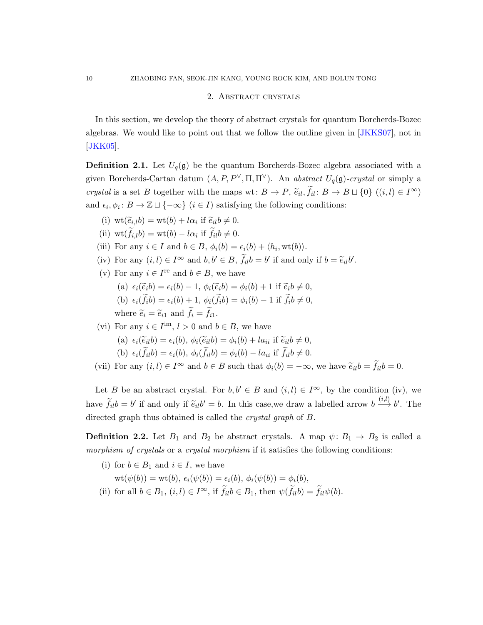# 2. Abstract crystals

<span id="page-9-0"></span>In this section, we develop the theory of abstract crystals for quantum Borcherds-Bozec algebras. We would like to point out that we follow the outline given in [\[JKKS07\]](#page-29-8), not in [\[JKK05\]](#page-28-7).

<span id="page-9-1"></span>**Definition 2.1.** Let  $U_q(\mathfrak{g})$  be the quantum Borcherds-Bozec algebra associated with a given Borcherds-Cartan datum  $(A, P, P^{\vee}, \Pi, \Pi^{\vee})$ . An abstract  $U_q(\mathfrak{g})$ -crystal or simply a crystal is a set B together with the maps wt:  $B \to P$ ,  $\tilde{e}_{il}$ ,  $f_{il}$ :  $B \to B \sqcup \{0\}$   $((i, l) \in I^{\infty})$ and  $\epsilon_i, \phi_i : B \to \mathbb{Z} \sqcup \{-\infty\}$   $(i \in I)$  satisfying the following conditions:

(i) 
$$
\operatorname{wt}(\widetilde{e}_{i,l}b) = \operatorname{wt}(b) + l\alpha_i \text{ if } \widetilde{e}_{il}b \neq 0.
$$

- (ii)  $\operatorname{wt}(f_{i,l}b) = \operatorname{wt}(b) l\alpha_i$  if  $f_{il}b \neq 0$ .
- (iii) For any  $i \in I$  and  $b \in B$ ,  $\phi_i(b) = \epsilon_i(b) + \langle h_i, \text{wt}(b) \rangle$ .
- (iv) For any  $(i, l) \in I^{\infty}$  and  $b, b' \in B$ ,  $\tilde{f}_{il}b = b'$  if and only if  $b = \tilde{e}_{il}b'$ .
- (v) For any  $i \in I^{\text{re}}$  and  $b \in B$ , we have
	- (a)  $\epsilon_i(\tilde{e}_i b) = \epsilon_i(b) 1$ ,  $\phi_i(\tilde{e}_i b) = \phi_i(b) + 1$  if  $\tilde{e}_i b \neq 0$ , (b)  $\epsilon_i(f_i b) = \epsilon_i(b) + 1, \, \phi_i(f_i b) = \phi_i(b) - 1 \text{ if } f_i b \neq 0,$ where  $\tilde{e}_i = \tilde{e}_{i1}$  and  $f_i = f_{i1}$ .

(vi) For any  $i \in I^{\text{im}}$ ,  $l > 0$  and  $b \in B$ , we have

(a) 
$$
\epsilon_i(\widetilde{e}_{il}b) = \epsilon_i(b), \ \phi_i(\widetilde{e}_{il}b) = \phi_i(b) + la_{ii}
$$
 if  $\widetilde{e}_{il}b \neq 0$ ,

(b) 
$$
\epsilon_i(f_{il}b) = \epsilon_i(b), \ \phi_i(f_{il}b) = \phi_i(b) - la_{ii}
$$
 if  $f_{il}b \neq 0$ .

(vii) For any  $(i, l) \in I^{\infty}$  and  $b \in B$  such that  $\phi_i(b) = -\infty$ , we have  $\tilde{e}_{il}b = \tilde{f}_{il}b = 0$ .

Let B be an abstract crystal. For  $b, b' \in B$  and  $(i, l) \in I^{\infty}$ , by the condition (iv), we have  $\tilde{f}_{il}b = b'$  if and only if  $\tilde{e}_{il}b' = b$ . In this case, we draw a labelled arrow  $b \stackrel{(i,l)}{\longrightarrow} b'$ . The directed graph thus obtained is called the *crystal graph* of B.

**Definition 2.2.** Let  $B_1$  and  $B_2$  be abstract crystals. A map  $\psi: B_1 \to B_2$  is called a morphism of crystals or a crystal morphism if it satisfies the following conditions:

- (i) for  $b \in B_1$  and  $i \in I$ , we have  $wt(\psi(b)) = wt(b), \epsilon_i(\psi(b)) = \epsilon_i(b), \phi_i(\psi(b)) = \phi_i(b),$
- (ii) for all  $b \in B_1$ ,  $(i, l) \in I^{\infty}$ , if  $f_{il}b \in B_1$ , then  $\psi(f_{il}b) = f_{il}\psi(b)$ .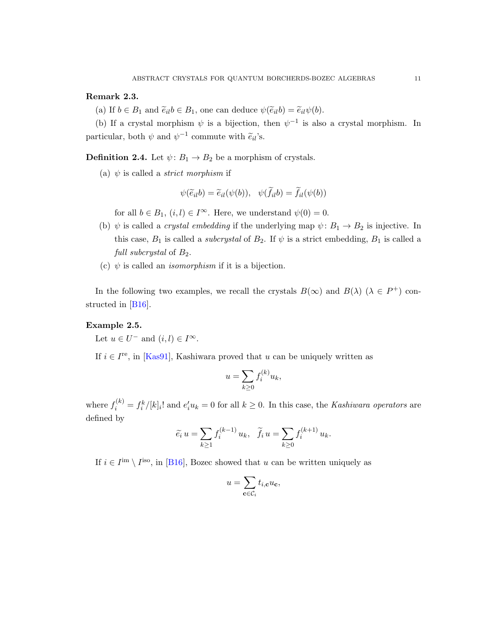# <span id="page-10-1"></span>Remark 2.3.

(a) If  $b \in B_1$  and  $\tilde{e}_{il}b \in B_1$ , one can deduce  $\psi(\tilde{e}_{il}b) = \tilde{e}_{il}\psi(b)$ .

(b) If a crystal morphism  $\psi$  is a bijection, then  $\psi^{-1}$  is also a crystal morphism. In particular, both  $\psi$  and  $\psi^{-1}$  commute with  $\tilde{e}_{il}$ 's.

**Definition 2.4.** Let  $\psi: B_1 \to B_2$  be a morphism of crystals.

(a)  $\psi$  is called a *strict morphism* if

$$
\psi(\widetilde{e}_{il}b) = \widetilde{e}_{il}(\psi(b)), \quad \psi(\widetilde{f}_{il}b) = \widetilde{f}_{il}(\psi(b))
$$

for all  $b \in B_1$ ,  $(i, l) \in I^{\infty}$ . Here, we understand  $\psi(0) = 0$ .

- (b)  $\psi$  is called a *crystal embedding* if the underlying map  $\psi: B_1 \to B_2$  is injective. In this case,  $B_1$  is called a *subcrystal* of  $B_2$ . If  $\psi$  is a strict embedding,  $B_1$  is called a full subcrystal of  $B_2$ .
- (c)  $\psi$  is called an *isomorphism* if it is a bijection.

In the following two examples, we recall the crystals  $B(\infty)$  and  $B(\lambda)$  ( $\lambda \in P^+$ ) constructed in [\[B16\]](#page-28-3).

# <span id="page-10-0"></span>Example 2.5.

Let  $u \in U^-$  and  $(i, l) \in I^{\infty}$ .

If  $i \in I^{\text{re}}$ , in [\[Kas91\]](#page-29-7), Kashiwara proved that u can be uniquely written as

$$
u = \sum_{k \ge 0} f_i^{(k)} u_k,
$$

where  $f_i^{(k)} = f_i^k / [k]_i!$  and  $e_i' u_k = 0$  for all  $k \ge 0$ . In this case, the Kashiwara operators are defined by

$$
\widetilde{e}_i u = \sum_{k \ge 1} f_i^{(k-1)} u_k, \quad \widetilde{f}_i u = \sum_{k \ge 0} f_i^{(k+1)} u_k.
$$

If  $i \in I^{\text{im}} \setminus I^{\text{iso}}$ , in [\[B16\]](#page-28-3), Bozec showed that u can be written uniquely as

$$
u = \sum_{\mathbf{c} \in \mathcal{C}_i} t_{i,\mathbf{c}} u_{\mathbf{c}},
$$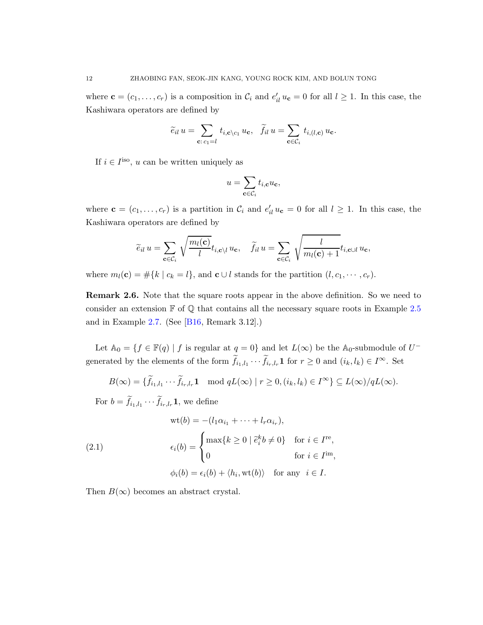where  $\mathbf{c} = (c_1, \ldots, c_r)$  is a composition in  $\mathcal{C}_i$  and  $e'_{il} u_{\mathbf{c}} = 0$  for all  $l \geq 1$ . In this case, the Kashiwara operators are defined by

$$
\widetilde{e}_{il} u = \sum_{\mathbf{c}: c_1 = l} t_{i,\mathbf{c}\setminus c_1} u_{\mathbf{c}}, \quad \widetilde{f}_{il} u = \sum_{\mathbf{c} \in C_i} t_{i,(l,\mathbf{c})} u_{\mathbf{c}}.
$$

If  $i \in I^{\text{iso}}$ , u can be written uniquely as

$$
u = \sum_{\mathbf{c} \in \mathcal{C}_i} t_{i,\mathbf{c}} u_{\mathbf{c}},
$$

where  $\mathbf{c} = (c_1, \ldots, c_r)$  is a partition in  $\mathcal{C}_i$  and  $e'_{il} u_{\mathbf{c}} = 0$  for all  $l \geq 1$ . In this case, the Kashiwara operators are defined by

$$
\widetilde{e}_{il} u = \sum_{\mathbf{c} \in \mathcal{C}_i} \sqrt{\frac{m_l(\mathbf{c})}{l}} t_{i,\mathbf{c} \setminus l} u_{\mathbf{c}}, \quad \widetilde{f}_{il} u = \sum_{\mathbf{c} \in \mathcal{C}_i} \sqrt{\frac{l}{m_l(\mathbf{c}) + 1}} t_{i,\mathbf{c} \cup l} u_{\mathbf{c}},
$$

where  $m_l(\mathbf{c}) = #\{k \mid c_k = l\}$ , and  $\mathbf{c} \cup l$  stands for the partition  $(l, c_1, \dots, c_r)$ .

Remark 2.6. Note that the square roots appear in the above definition. So we need to consider an extension  $\mathbb F$  of  $\mathbb Q$  that contains all the necessary square roots in Example [2.5](#page-10-0) and in Example [2.7.](#page-12-0) (See [\[B16,](#page-28-3) Remark 3.12].)

Let  $\mathbb{A}_0 = \{ f \in \mathbb{F}(q) \mid f \text{ is regular at } q = 0 \}$  and let  $L(\infty)$  be the  $\mathbb{A}_0$ -submodule of  $U^$ generated by the elements of the form  $f_{i_1,l_1}\cdots f_{i_r,l_r}$ **1** for  $r\geq 0$  and  $(i_k, l_k) \in I^{\infty}$ . Set

$$
B(\infty) = \{ \widetilde{f}_{i_1, l_1} \cdots \widetilde{f}_{i_r, l_r} \mathbf{1} \mod qL(\infty) \mid r \ge 0, (i_k, l_k) \in I^{\infty} \} \subseteq L(\infty)/qL(\infty).
$$

For  $b = f_{i_1, l_1} \cdots f_{i_r, l_r}$ **1**, we define

(2.1)  
\n
$$
\begin{aligned}\n\text{wt}(b) &= -(l_1\alpha_{i_1} + \dots + l_r\alpha_{i_r}), \\
\epsilon_i(b) &= \begin{cases}\n\max\{k \ge 0 \mid \tilde{e}_i^k b \ne 0\} & \text{for } i \in I^{\text{re}}, \\
0 & \text{for } i \in I^{\text{im}},\n\end{cases} \\
\phi_i(b) &= \epsilon_i(b) + \langle h_i, \text{wt}(b) \rangle & \text{for any } i \in I.\n\end{aligned}
$$

Then  $B(\infty)$  becomes an abstract crystal.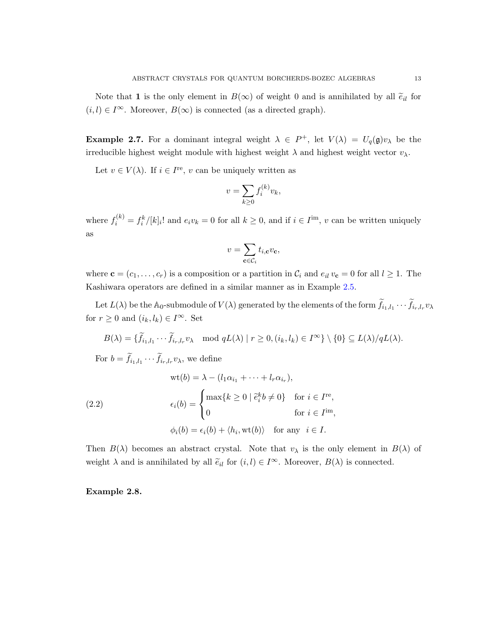Note that 1 is the only element in  $B(\infty)$  of weight 0 and is annihilated by all  $\tilde{e}_{il}$  for  $(i, l) \in I^{\infty}$ . Moreover,  $B(\infty)$  is connected (as a directed graph).

<span id="page-12-0"></span>**Example 2.7.** For a dominant integral weight  $\lambda \in P^+$ , let  $V(\lambda) = U_q(\mathfrak{g})v_\lambda$  be the irreducible highest weight module with highest weight  $\lambda$  and highest weight vector  $v_{\lambda}$ .

Let  $v \in V(\lambda)$ . If  $i \in I^{\text{re}}$ , v can be uniquely written as

$$
v = \sum_{k \ge 0} f_i^{(k)} v_k,
$$

where  $f_i^{(k)} = f_i^k / [k]_i!$  and  $e_i v_k = 0$  for all  $k \ge 0$ , and if  $i \in I^{\text{im}}$ , v can be written uniquely as

$$
v = \sum_{\mathbf{c} \in \mathcal{C}_i} t_{i, \mathbf{c}} v_{\mathbf{c}},
$$

where  $\mathbf{c} = (c_1, \ldots, c_r)$  is a composition or a partition in  $\mathcal{C}_i$  and  $e_{il}$   $v_{\mathbf{c}} = 0$  for all  $l \geq 1$ . The Kashiwara operators are defined in a similar manner as in Example [2.5.](#page-10-0)

Let  $L(\lambda)$  be the  $\mathbb{A}_0$ -submodule of  $V(\lambda)$  generated by the elements of the form  $f_{i_1, l_1} \cdots f_{i_r, l_r} v_\lambda$ for  $r \geq 0$  and  $(i_k, l_k) \in I^{\infty}$ . Set

$$
B(\lambda) = \{ \widetilde{f}_{i_1, l_1} \cdots \widetilde{f}_{i_r, l_r} v_\lambda \mod qL(\lambda) \mid r \ge 0, (i_k, l_k) \in I^{\infty} \} \setminus \{0\} \subseteq L(\lambda)/qL(\lambda).
$$

For  $b = f_{i_1, l_1} \cdots f_{i_r, l_r} v_\lambda$ , we define

(2.2)  
\n
$$
\text{wt}(b) = \lambda - (l_1 \alpha_{i_1} + \dots + l_r \alpha_{i_r}),
$$
\n
$$
\epsilon_i(b) = \begin{cases}\n\max\{k \ge 0 \mid \tilde{e}_i^k b \ne 0\} & \text{for } i \in I^{\text{re}}, \\
0 & \text{for } i \in I^{\text{im}},\n\end{cases}
$$
\n
$$
\phi_i(b) = \epsilon_i(b) + \langle h_i, \text{wt}(b) \rangle \quad \text{for any } i \in I.
$$

Then  $B(\lambda)$  becomes an abstract crystal. Note that  $v_{\lambda}$  is the only element in  $B(\lambda)$  of weight  $\lambda$  and is annihilated by all  $\tilde{e}_{il}$  for  $(i, l) \in I^{\infty}$ . Moreover,  $B(\lambda)$  is connected.

<span id="page-12-1"></span>Example 2.8.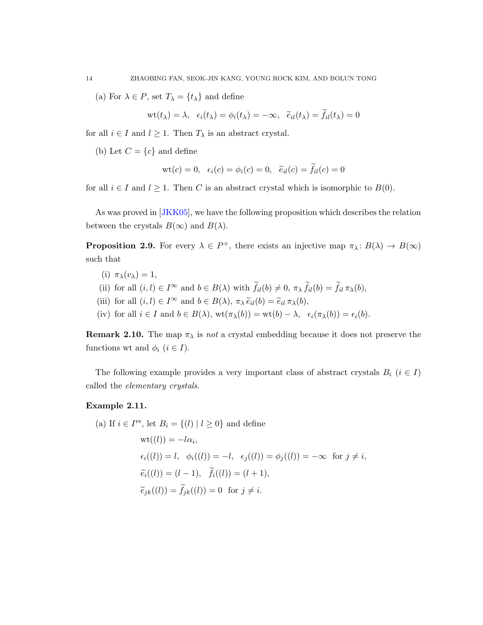(a) For  $\lambda \in P$ , set  $T_{\lambda} = \{t_{\lambda}\}\$ and define

 $\mathrm{wt}(t_\lambda)=\lambda, \ \ \epsilon_i(t_\lambda)=\phi_i(t_\lambda)=-\infty, \ \ \widetilde{e}_{il}(t_\lambda)=f_{il}(t_\lambda)=0$ 

for all  $i \in I$  and  $l \geq 1$ . Then  $T_{\lambda}$  is an abstract crystal.

(b) Let  $C = \{c\}$  and define

$$
wt(c) = 0, \ \epsilon_i(c) = \phi_i(c) = 0, \ \ \widetilde{e}_{il}(c) = f_{il}(c) = 0
$$

for all  $i \in I$  and  $l \geq 1$ . Then C is an abstract crystal which is isomorphic to  $B(0)$ .

As was proved in [\[JKK05\]](#page-28-7), we have the following proposition which describes the relation between the crystals  $B(\infty)$  and  $B(\lambda)$ .

<span id="page-13-0"></span>**Proposition 2.9.** For every  $\lambda \in P^+$ , there exists an injective map  $\pi_\lambda: B(\lambda) \to B(\infty)$ such that

- (i)  $\pi_{\lambda}(v_{\lambda}) = 1$ ,
- (ii) for all  $(i, l) \in I^{\infty}$  and  $b \in B(\lambda)$  with  $\tilde{f}_{il}(b) \neq 0$ ,  $\pi_{\lambda} \tilde{f}_{il}(b) = \tilde{f}_{il} \pi_{\lambda}(b)$ ,
- (iii) for all  $(i, l) \in I^{\infty}$  and  $b \in B(\lambda)$ ,  $\pi_{\lambda} \tilde{e}_{il}(b) = \tilde{e}_{il} \pi_{\lambda}(b)$ ,

(iv) for all  $i \in I$  and  $b \in B(\lambda)$ ,  $\operatorname{wt}(\pi_{\lambda}(b)) = \operatorname{wt}(b) - \lambda$ ,  $\epsilon_i(\pi_{\lambda}(b)) = \epsilon_i(b)$ .

**Remark 2.10.** The map  $\pi_{\lambda}$  is not a crystal embedding because it does not preserve the functions wt and  $\phi_i$   $(i \in I)$ .

The following example provides a very important class of abstract crystals  $B_i$  ( $i \in I$ ) called the elementary crystals.

#### Example 2.11.

(a) If  $i \in I^{\text{re}}$ , let  $B_i = \{(l) | l \geq 0\}$  and define  $\mathrm{wt}((l))=-l\alpha_i,$  $\epsilon_i((l)) = l, \phi_i((l)) = -l, \epsilon_i((l)) = \phi_i((l)) = -\infty \text{ for } j \neq i,$  $\widetilde{e_i}((l)) = (l-1), \quad f_i((l)) = (l+1),$  $\widetilde{e}_{jk}((l)) = f_{jk}((l)) = 0 \text{ for } j \neq i.$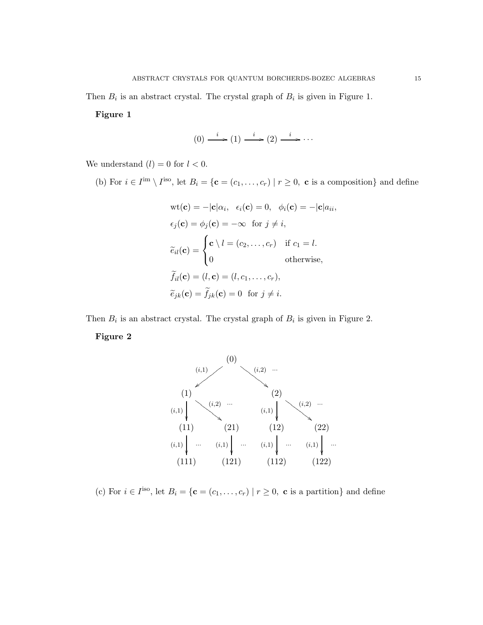Then  $B_i$  is an abstract crystal. The crystal graph of  $B_i$  is given in Figure 1.

#### Figure 1

$$
(0) \xrightarrow{i} (1) \xrightarrow{i} (2) \xrightarrow{i} \cdots
$$

We understand  $(l) = 0$  for  $l < 0$ .

(b) For  $i \in I^{\text{im}} \setminus I^{\text{iso}}$ , let  $B_i = \{c = (c_1, \ldots, c_r) \mid r \geq 0$ , c is a composition} and define

$$
\text{wt}(\mathbf{c}) = -|\mathbf{c}|\alpha_i, \ \epsilon_i(\mathbf{c}) = 0, \ \phi_i(\mathbf{c}) = -|\mathbf{c}|a_{ii},
$$

$$
\epsilon_j(\mathbf{c}) = \phi_j(\mathbf{c}) = -\infty \ \text{ for } j \neq i,
$$

$$
\tilde{e}_{il}(\mathbf{c}) = \begin{cases} \mathbf{c} \setminus l = (c_2, \dots, c_r) & \text{if } c_1 = l. \\ 0 & \text{otherwise,} \end{cases}
$$

$$
\tilde{f}_{il}(\mathbf{c}) = (l, \mathbf{c}) = (l, c_1, \dots, c_r),
$$

$$
\tilde{e}_{jk}(\mathbf{c}) = \tilde{f}_{jk}(\mathbf{c}) = 0 \ \text{ for } j \neq i.
$$

Then  $B_i$  is an abstract crystal. The crystal graph of  $B_i$  is given in Figure 2. Figure 2



(c) For  $i \in I^{\text{iso}}$ , let  $B_i = \{c = (c_1, \ldots, c_r) \mid r \geq 0$ , c is a partition} and define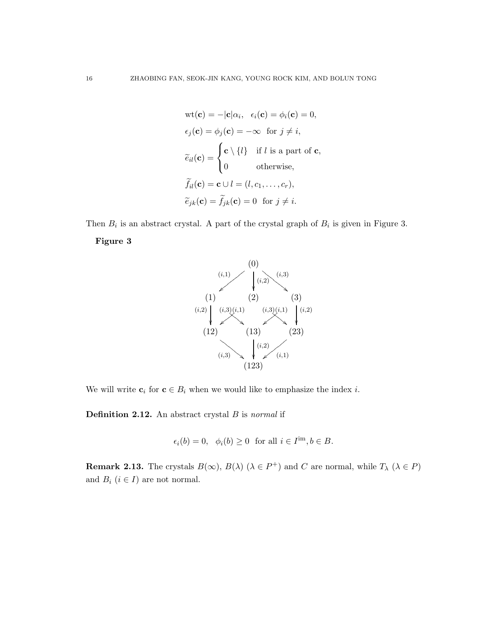$$
\text{wt}(\mathbf{c}) = -|\mathbf{c}|\alpha_i, \ \epsilon_i(\mathbf{c}) = \phi_i(\mathbf{c}) = 0,
$$
\n
$$
\epsilon_j(\mathbf{c}) = \phi_j(\mathbf{c}) = -\infty \text{ for } j \neq i,
$$
\n
$$
\widetilde{e}_{il}(\mathbf{c}) = \begin{cases}\n\mathbf{c} \setminus \{l\} & \text{if } l \text{ is a part of } \mathbf{c}, \\
0 & \text{otherwise},\n\end{cases}
$$
\n
$$
\widetilde{f}_{il}(\mathbf{c}) = \mathbf{c} \cup l = (l, c_1, \dots, c_r),
$$
\n
$$
\widetilde{e}_{jk}(\mathbf{c}) = \widetilde{f}_{jk}(\mathbf{c}) = 0 \text{ for } j \neq i.
$$





We will write  $c_i$  for  $c \in B_i$  when we would like to emphasize the index *i*.

**Definition 2.12.** An abstract crystal  $B$  is normal if

 $\epsilon_i(b) = 0, \quad \phi_i(b) \ge 0 \quad \text{for all } i \in I^{\text{im}}, b \in B.$ 

**Remark 2.13.** The crystals  $B(\infty)$ ,  $B(\lambda)$  ( $\lambda \in P^+$ ) and C are normal, while  $T_{\lambda}$  ( $\lambda \in P$ ) and  $B_i$   $(i \in I)$  are not normal.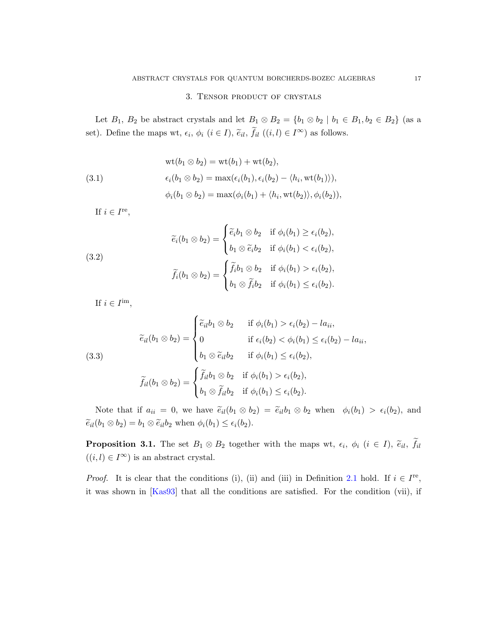# 3. Tensor product of crystals

<span id="page-16-0"></span>Let  $B_1$ ,  $B_2$  be abstract crystals and let  $B_1 \otimes B_2 = \{b_1 \otimes b_2 \mid b_1 \in B_1, b_2 \in B_2\}$  (as a set). Define the maps wt,  $\epsilon_i$ ,  $\phi_i$   $(i \in I)$ ,  $\tilde{\epsilon}_{il}$ ,  $\tilde{f}_{il}$   $((i, l) \in I^{\infty})$  as follows.

(3.1)  
\n
$$
wt(b_1 \otimes b_2) = wt(b_1) + wt(b_2),
$$
\n
$$
\epsilon_i(b_1 \otimes b_2) = \max(\epsilon_i(b_1), \epsilon_i(b_2) - \langle h_i, wt(b_1) \rangle),
$$
\n
$$
\phi_i(b_1 \otimes b_2) = \max(\phi_i(b_1) + \langle h_i, wt(b_2) \rangle, \phi_i(b_2)),
$$

If  $i \in I^{\text{re}}$ ,

(3.2)  

$$
\widetilde{e}_i(b_1 \otimes b_2) = \begin{cases} \widetilde{e}_i b_1 \otimes b_2 & \text{if } \phi_i(b_1) \ge \epsilon_i(b_2), \\ b_1 \otimes \widetilde{e}_i b_2 & \text{if } \phi_i(b_1) < \epsilon_i(b_2), \end{cases}
$$

$$
\widetilde{f}_i(b_1 \otimes b_2) = \begin{cases} \widetilde{f}_i b_1 \otimes b_2 & \text{if } \phi_i(b_1) > \epsilon_i(b_2), \\ b_1 \otimes \widetilde{f}_i b_2 & \text{if } \phi_i(b_1) \le \epsilon_i(b_2). \end{cases}
$$

If  $i \in I^{\text{im}},$ 

(3.3)  

$$
\widetilde{e}_{il}(b_1 \otimes b_2) = \begin{cases}\n\widetilde{e}_{il}b_1 \otimes b_2 & \text{if } \phi_i(b_1) > \epsilon_i(b_2) - la_{ii}, \\
0 & \text{if } \epsilon_i(b_2) < \phi_i(b_1) \le \epsilon_i(b_2) - la_{ii}, \\
b_1 \otimes \widetilde{e}_{il}b_2 & \text{if } \phi_i(b_1) \le \epsilon_i(b_2),\n\end{cases}
$$

$$
\widetilde{f}_{il}(b_1 \otimes b_2) = \begin{cases}\n\widetilde{f}_{il}b_1 \otimes b_2 & \text{if } \phi_i(b_1) > \epsilon_i(b_2), \\
b_1 \otimes \widetilde{f}_{il}b_2 & \text{if } \phi_i(b_1) \le \epsilon_i(b_2).\n\end{cases}
$$

Note that if  $a_{ii} = 0$ , we have  $\tilde{e}_{il}(b_1 \otimes b_2) = \tilde{e}_{il}b_1 \otimes b_2$  when  $\phi_i(b_1) > \epsilon_i(b_2)$ , and  $\widetilde{e}_{il}(b_1 \otimes b_2) = b_1 \otimes \widetilde{e}_{il}b_2$  when  $\phi_i(b_1) \leq \epsilon_i(b_2)$ .

**Proposition 3.1.** The set  $B_1 \otimes B_2$  together with the maps wt,  $\epsilon_i$ ,  $\phi_i$  ( $i \in I$ ),  $\tilde{e}_{il}$ ,  $f_{il}$  $((i, l) \in I^{\infty})$  is an abstract crystal.

*Proof.* It is clear that the conditions (i), (ii) and (iii) in Definition [2.1](#page-9-1) hold. If  $i \in I^{\text{re}}$ , it was shown in [\[Kas93\]](#page-29-14) that all the conditions are satisfied. For the condition (vii), if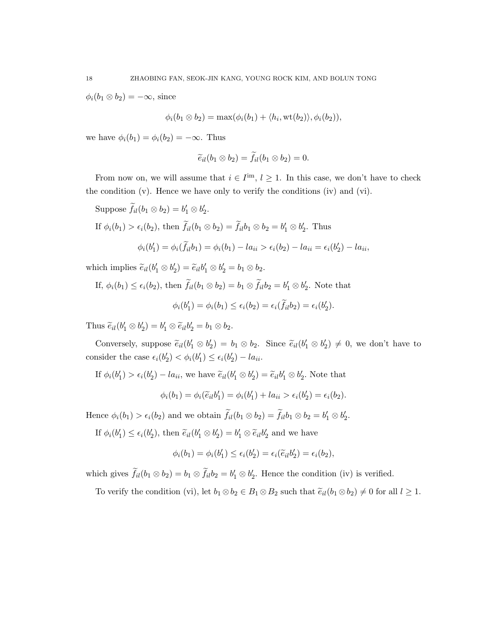$\phi_i(b_1 \otimes b_2) = -\infty$ , since

$$
\phi_i(b_1 \otimes b_2) = \max(\phi_i(b_1) + \langle h_i, \text{wt}(b_2) \rangle, \phi_i(b_2)),
$$

we have  $\phi_i(b_1) = \phi_i(b_2) = -\infty$ . Thus

$$
\widetilde{e}_{il}(b_1\otimes b_2)=\widetilde{f}_{il}(b_1\otimes b_2)=0.
$$

From now on, we will assume that  $i \in I^{\text{im}}$ ,  $l \geq 1$ . In this case, we don't have to check the condition (v). Hence we have only to verify the conditions (iv) and (vi).

Suppose  $f_{il}(b_1 \otimes b_2) = b'_1 \otimes b'_2$ . If  $\phi_i(b_1) > \epsilon_i(b_2)$ , then  $f_{il}(b_1 \otimes b_2) = f_{il}b_1 \otimes b_2 = b'_1 \otimes b'_2$ . Thus  $\phi_i(b'_1) = \phi_i(\tilde{f}_{il}b_1) = \phi_i(b_1) - la_{ii} > \epsilon_i(b_2) - la_{ii} = \epsilon_i(b'_2) - la_{ii}$ 

which implies  $\tilde{e}_{il}(b'_1 \otimes b'_2) = \tilde{e}_{il}b'_1 \otimes b'_2 = b_1 \otimes b_2.$ 

If, 
$$
\phi_i(b_1) \le \epsilon_i(b_2)
$$
, then  $\tilde{f}_{il}(b_1 \otimes b_2) = b_1 \otimes \tilde{f}_{il}b_2 = b'_1 \otimes b'_2$ . Note that  

$$
\phi_i(b'_1) = \phi_i(b_1) \le \epsilon_i(b_2) = \epsilon_i(\tilde{f}_{il}b_2) = \epsilon_i(b'_2).
$$

Thus  $\widetilde{e}_{il}(b'_1 \otimes b'_2) = b'_1 \otimes \widetilde{e}_{il}b'_2 = b_1 \otimes b_2.$ 

Conversely, suppose  $\tilde{e}_{il}(b'_1 \otimes b'_2) = b_1 \otimes b_2$ . Since  $\tilde{e}_{il}(b'_1 \otimes b'_2) \neq 0$ , we don't have to consider the case  $\epsilon_i(b'_2) < \phi_i(b'_1) \leq \epsilon_i(b'_2) - la_{ii}$ .

If 
$$
\phi_i(b'_1) > \epsilon_i(b'_2) - la_{ii}
$$
, we have  $\tilde{e}_{il}(b'_1 \otimes b'_2) = \tilde{e}_{il}b'_1 \otimes b'_2$ . Note that

$$
\phi_i(b_1) = \phi_i(\widetilde{e}_{il}b'_1) = \phi_i(b'_1) + la_{ii} > \epsilon_i(b'_2) = \epsilon_i(b_2).
$$

Hence  $\phi_i(b_1) > \epsilon_i(b_2)$  and we obtain  $f_{il}(b_1 \otimes b_2) = f_{il}b_1 \otimes b_2 = b'_1 \otimes b'_2$ .

If  $\phi_i(b'_1) \leq \epsilon_i(b'_2)$ , then  $\tilde{e}_{il}(b'_1 \otimes b'_2) = b'_1 \otimes \tilde{e}_{il}b'_2$  and we have

$$
\phi_i(b_1) = \phi_i(b'_1) \le \epsilon_i(b'_2) = \epsilon_i(\widetilde{e}_{il}b'_2) = \epsilon_i(b_2),
$$

which gives  $\tilde{f}_{il}(b_1 \otimes b_2) = b_1 \otimes \tilde{f}_{il}b_2 = b'_1 \otimes b'_2$ . Hence the condition (iv) is verified.

To verify the condition (vi), let  $b_1 \otimes b_2 \in B_1 \otimes B_2$  such that  $\tilde{e}_{il}(b_1 \otimes b_2) \neq 0$  for all  $l \geq 1$ .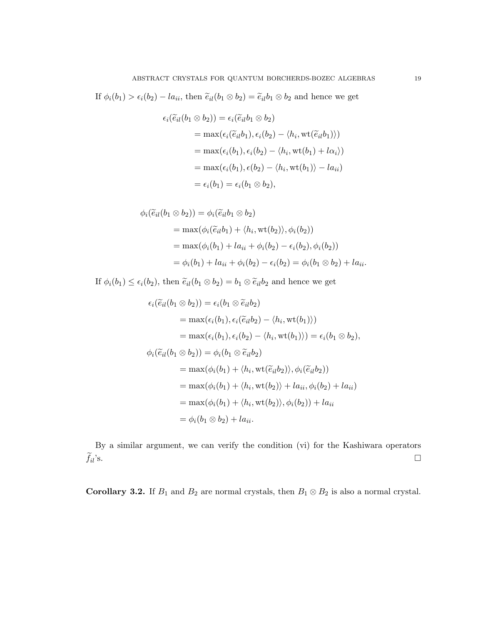If  $\phi_i(b_1) > \epsilon_i(b_2) - la_{ii}$ , then  $\tilde{e}_{il}(b_1 \otimes b_2) = \tilde{e}_{il}b_1 \otimes b_2$  and hence we get

$$
\epsilon_i(\widetilde{e}_{il}(b_1 \otimes b_2)) = \epsilon_i(\widetilde{e}_{il}b_1 \otimes b_2)
$$
  
= max( $\epsilon_i(\widetilde{e}_{il}b_1), \epsilon_i(b_2) - \langle h_i, \text{wt}(\widetilde{e}_{il}b_1) \rangle$ )  
= max( $\epsilon_i(b_1), \epsilon_i(b_2) - \langle h_i, \text{wt}(b_1) + l\alpha_i \rangle$ )  
= max( $\epsilon_i(b_1), \epsilon(b_2) - \langle h_i, \text{wt}(b_1) \rangle - l\alpha_{ii}$ )  
=  $\epsilon_i(b_1) = \epsilon_i(b_1 \otimes b_2),$ 

$$
\phi_i(\widetilde{e}_{il}(b_1 \otimes b_2)) = \phi_i(\widetilde{e}_{il}b_1 \otimes b_2)
$$
  
= max( $\phi_i(\widetilde{e}_{il}b_1) + \langle h_i, \text{wt}(b_2) \rangle$ ,  $\phi_i(b_2)$ )  
= max( $\phi_i(b_1) + la_{ii} + \phi_i(b_2) - \epsilon_i(b_2), \phi_i(b_2)$ )  
=  $\phi_i(b_1) + la_{ii} + \phi_i(b_2) - \epsilon_i(b_2) = \phi_i(b_1 \otimes b_2) + la_{ii}$ .

If  $\phi_i(b_1) \leq \epsilon_i(b_2)$ , then  $\tilde{e}_{il}(b_1 \otimes b_2) = b_1 \otimes \tilde{e}_{il}b_2$  and hence we get

$$
\epsilon_i(\widetilde{e}_{il}(b_1 \otimes b_2)) = \epsilon_i(b_1 \otimes \widetilde{e}_{il}b_2)
$$
  
\n
$$
= \max(\epsilon_i(b_1), \epsilon_i(\widetilde{e}_{il}b_2) - \langle h_i, \text{wt}(b_1) \rangle)
$$
  
\n
$$
= \max(\epsilon_i(b_1), \epsilon_i(b_2) - \langle h_i, \text{wt}(b_1) \rangle) = \epsilon_i(b_1 \otimes b_2),
$$
  
\n
$$
\phi_i(\widetilde{e}_{il}(b_1 \otimes b_2)) = \phi_i(b_1 \otimes \widetilde{e}_{il}b_2)
$$
  
\n
$$
= \max(\phi_i(b_1) + \langle h_i, \text{wt}(\widetilde{e}_{il}b_2) \rangle, \phi_i(\widetilde{e}_{il}b_2))
$$
  
\n
$$
= \max(\phi_i(b_1) + \langle h_i, \text{wt}(b_2) \rangle + la_{ii}, \phi_i(b_2) + la_{ii})
$$
  
\n
$$
= \max(\phi_i(b_1) + \langle h_i, \text{wt}(b_2) \rangle, \phi_i(b_2)) + la_{ii}
$$
  
\n
$$
= \phi_i(b_1 \otimes b_2) + la_{ii}.
$$

By a similar argument, we can verify the condition (vi) for the Kashiwara operators  $\widetilde{f}_{il}$  's.  $\sum_{i}^{8}$ 's.

Corollary 3.2. If  $B_1$  and  $B_2$  are normal crystals, then  $B_1 \otimes B_2$  is also a normal crystal.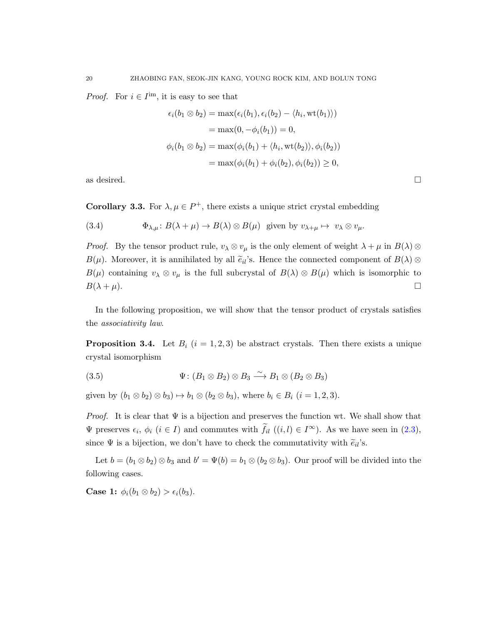*Proof.* For  $i \in I^{\text{im}}$ , it is easy to see that

$$
\epsilon_i(b_1 \otimes b_2) = \max(\epsilon_i(b_1), \epsilon_i(b_2) - \langle h_i, \text{wt}(b_1) \rangle)
$$
  

$$
= \max(0, -\phi_i(b_1)) = 0,
$$
  

$$
\phi_i(b_1 \otimes b_2) = \max(\phi_i(b_1) + \langle h_i, \text{wt}(b_2) \rangle, \phi_i(b_2))
$$
  

$$
= \max(\phi_i(b_1) + \phi_i(b_2), \phi_i(b_2)) \ge 0,
$$

as desired.  $\Box$ 

<span id="page-19-0"></span>**Corollary 3.3.** For  $\lambda, \mu \in P^+$ , there exists a unique strict crystal embedding

(3.4) 
$$
\Phi_{\lambda,\mu} \colon B(\lambda + \mu) \to B(\lambda) \otimes B(\mu) \text{ given by } v_{\lambda+\mu} \mapsto v_{\lambda} \otimes v_{\mu}.
$$

*Proof.* By the tensor product rule,  $v_\lambda \otimes v_\mu$  is the only element of weight  $\lambda + \mu$  in  $B(\lambda) \otimes$  $B(\mu)$ . Moreover, it is annihilated by all  $\tilde{e}_{il}$ 's. Hence the connected component of  $B(\lambda) \otimes$  $B(\mu)$  containing  $v_\lambda \otimes v_\mu$  is the full subcrystal of  $B(\lambda) \otimes B(\mu)$  which is isomorphic to  $B(\lambda + \mu)$ .

In the following proposition, we will show that the tensor product of crystals satisfies the associativity law.

**Proposition 3.4.** Let  $B_i$   $(i = 1, 2, 3)$  be abstract crystals. Then there exists a unique crystal isomorphism

(3.5) 
$$
\Psi : (B_1 \otimes B_2) \otimes B_3 \longrightarrow B_1 \otimes (B_2 \otimes B_3)
$$

given by  $(b_1 \otimes b_2) \otimes b_3 \mapsto b_1 \otimes (b_2 \otimes b_3)$ , where  $b_i \in B_i$   $(i = 1, 2, 3)$ .

*Proof.* It is clear that  $\Psi$  is a bijection and preserves the function wt. We shall show that  $\Psi$  preserves  $\epsilon_i$ ,  $\phi_i$   $(i \in I)$  and commutes with  $f_{il}$   $((i, l) \in I^{\infty})$ . As we have seen in  $(2.3)$ , since  $\Psi$  is a bijection, we don't have to check the commutativity with  $\tilde{e}_{il}$ 's.

Let  $b = (b_1 \otimes b_2) \otimes b_3$  and  $b' = \Psi(b) = b_1 \otimes (b_2 \otimes b_3)$ . Our proof will be divided into the following cases.

**Case 1:**  $\phi_i(b_1 \otimes b_2) > \epsilon_i(b_3)$ .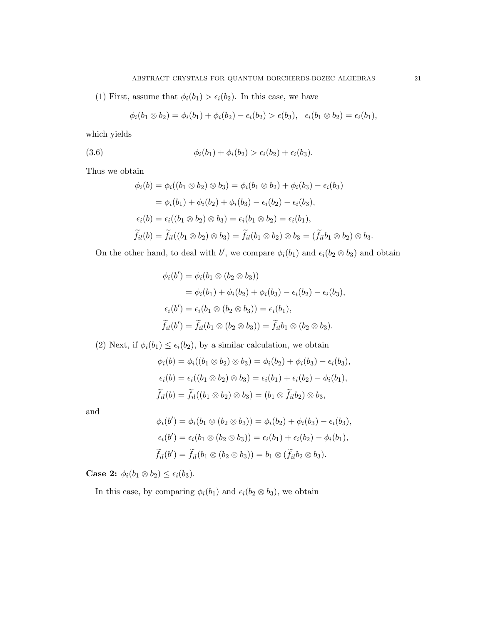(1) First, assume that  $\phi_i(b_1) > \epsilon_i(b_2)$ . In this case, we have

$$
\phi_i(b_1 \otimes b_2) = \phi_i(b_1) + \phi_i(b_2) - \epsilon_i(b_2) > \epsilon(b_3), \quad \epsilon_i(b_1 \otimes b_2) = \epsilon_i(b_1),
$$

which yields

(3.6) 
$$
\phi_i(b_1) + \phi_i(b_2) > \epsilon_i(b_2) + \epsilon_i(b_3).
$$

Thus we obtain

$$
\phi_i(b) = \phi_i((b_1 \otimes b_2) \otimes b_3) = \phi_i(b_1 \otimes b_2) + \phi_i(b_3) - \epsilon_i(b_3)
$$
  
\n
$$
= \phi_i(b_1) + \phi_i(b_2) + \phi_i(b_3) - \epsilon_i(b_2) - \epsilon_i(b_3),
$$
  
\n
$$
\epsilon_i(b) = \epsilon_i((b_1 \otimes b_2) \otimes b_3) = \epsilon_i(b_1 \otimes b_2) = \epsilon_i(b_1),
$$
  
\n
$$
\widetilde{f}_{il}(b) = \widetilde{f}_{il}((b_1 \otimes b_2) \otimes b_3) = \widetilde{f}_{il}(b_1 \otimes b_2) \otimes b_3 = (\widetilde{f}_{il}b_1 \otimes b_2) \otimes b_3.
$$

On the other hand, to deal with b', we compare  $\phi_i(b_1)$  and  $\epsilon_i(b_2 \otimes b_3)$  and obtain

$$
\phi_i(b') = \phi_i(b_1 \otimes (b_2 \otimes b_3))
$$
  
= 
$$
\phi_i(b_1) + \phi_i(b_2) + \phi_i(b_3) - \epsilon_i(b_2) - \epsilon_i(b_3),
$$
  

$$
\epsilon_i(b') = \epsilon_i(b_1 \otimes (b_2 \otimes b_3)) = \epsilon_i(b_1),
$$
  

$$
\widetilde{f}_{il}(b') = \widetilde{f}_{il}(b_1 \otimes (b_2 \otimes b_3)) = \widetilde{f}_{il}b_1 \otimes (b_2 \otimes b_3).
$$

(2) Next, if  $\phi_i(b_1) \leq \epsilon_i(b_2)$ , by a similar calculation, we obtain

$$
\phi_i(b) = \phi_i((b_1 \otimes b_2) \otimes b_3) = \phi_i(b_2) + \phi_i(b_3) - \epsilon_i(b_3),
$$
  
\n
$$
\epsilon_i(b) = \epsilon_i((b_1 \otimes b_2) \otimes b_3) = \epsilon_i(b_1) + \epsilon_i(b_2) - \phi_i(b_1),
$$
  
\n
$$
\widetilde{f}_{il}(b) = \widetilde{f}_{il}((b_1 \otimes b_2) \otimes b_3) = (b_1 \otimes \widetilde{f}_{il}b_2) \otimes b_3,
$$

and

$$
\phi_i(b') = \phi_i(b_1 \otimes (b_2 \otimes b_3)) = \phi_i(b_2) + \phi_i(b_3) - \epsilon_i(b_3),
$$
  
\n
$$
\epsilon_i(b') = \epsilon_i(b_1 \otimes (b_2 \otimes b_3)) = \epsilon_i(b_1) + \epsilon_i(b_2) - \phi_i(b_1),
$$
  
\n
$$
\widetilde{f}_{il}(b') = \widetilde{f}_{il}(b_1 \otimes (b_2 \otimes b_3)) = b_1 \otimes (\widetilde{f}_{il}b_2 \otimes b_3).
$$

**Case 2:**  $\phi_i(b_1 \otimes b_2) \leq \epsilon_i(b_3)$ .

In this case, by comparing  $\phi_i(b_1)$  and  $\epsilon_i(b_2 \otimes b_3)$ , we obtain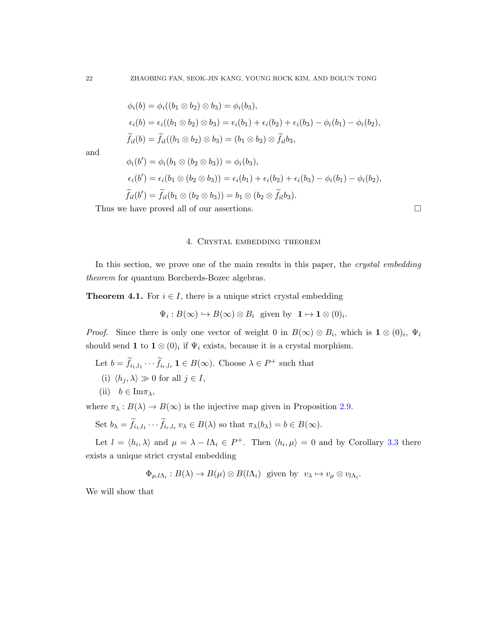$$
\phi_i(b) = \phi_i((b_1 \otimes b_2) \otimes b_3) = \phi_i(b_3),
$$
  
\n
$$
\epsilon_i(b) = \epsilon_i((b_1 \otimes b_2) \otimes b_3) = \epsilon_i(b_1) + \epsilon_i(b_2) + \epsilon_i(b_3) - \phi_i(b_1) - \phi_i(b_2),
$$
  
\n
$$
\widetilde{f}_{il}(b) = \widetilde{f}_{il}((b_1 \otimes b_2) \otimes b_3) = (b_1 \otimes b_2) \otimes \widetilde{f}_{il}b_3,
$$

and

$$
\phi_i(b') = \phi_i(b_1 \otimes (b_2 \otimes b_3)) = \phi_i(b_3),
$$
  
\n
$$
\epsilon_i(b') = \epsilon_i(b_1 \otimes (b_2 \otimes b_3)) = \epsilon_i(b_1) + \epsilon_i(b_2) + \epsilon_i(b_3) - \phi_i(b_1) - \phi_i(b_2),
$$
  
\n
$$
\widetilde{f}_{il}(b') = \widetilde{f}_{il}(b_1 \otimes (b_2 \otimes b_3)) = b_1 \otimes (b_2 \otimes \widetilde{f}_{il}b_3).
$$

<span id="page-21-0"></span>Thus we have proved all of our assertions.  $\hfill \Box$ 

#### 4. Crystal embedding theorem

In this section, we prove one of the main results in this paper, the *crystal embedding* theorem for quantum Borcherds-Bozec algebras.

**Theorem 4.1.** For  $i \in I$ , there is a unique strict crystal embedding

$$
\Psi_i: B(\infty) \hookrightarrow B(\infty) \otimes B_i \text{ given by } \mathbf{1} \mapsto \mathbf{1} \otimes (0)_i.
$$

*Proof.* Since there is only one vector of weight 0 in  $B(\infty) \otimes B_i$ , which is  $\mathbf{1} \otimes (0)_i$ ,  $\Psi_i$ should send 1 to  $1 \otimes (0)_i$  if  $\Psi_i$  exists, because it is a crystal morphism.

- Let  $b = \tilde{f}_{i_1, l_1} \cdots \tilde{f}_{i_r, l_r} \mathbf{1} \in B(\infty)$ . Choose  $\lambda \in P^+$  such that
- (i)  $\langle h_j, \lambda \rangle \gg 0$  for all  $j \in I$ ,
- (ii)  $b \in \text{Im}\pi_\lambda$ ,

where  $\pi_{\lambda}: B(\lambda) \to B(\infty)$  is the injective map given in Proposition [2.9.](#page-13-0)

Set 
$$
b_{\lambda} = \widetilde{f}_{i_1, l_1} \cdots \widetilde{f}_{i_r, l_r} v_{\lambda} \in B(\lambda)
$$
 so that  $\pi_{\lambda}(b_{\lambda}) = b \in B(\infty)$ .

Let  $l = \langle h_i, \lambda \rangle$  and  $\mu = \lambda - l\Lambda_i \in P^+$ . Then  $\langle h_i, \mu \rangle = 0$  and by Corollary [3.3](#page-19-0) there exists a unique strict crystal embedding

$$
\Phi_{\mu,l\Lambda_i}: B(\lambda) \to B(\mu) \otimes B(l\Lambda_i)
$$
 given by  $v_{\lambda} \mapsto v_{\mu} \otimes v_{l\Lambda_i}$ .

We will show that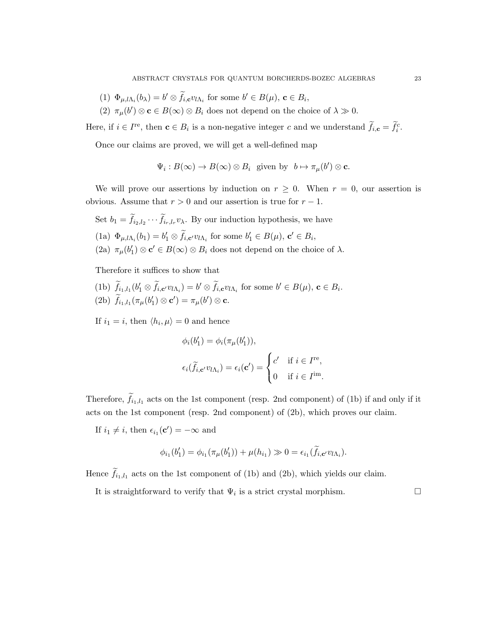- (1)  $\Phi_{\mu,l\Lambda_i}(b_\lambda) = b' \otimes \tilde{f}_{i,\mathbf{c}} v_{l\Lambda_i}$  for some  $b' \in B(\mu), \mathbf{c} \in B_i$ ,
- (2)  $\pi_{\mu}(b') \otimes \mathbf{c} \in B(\infty) \otimes B_i$  does not depend on the choice of  $\lambda \gg 0$ .

Here, if  $i \in I^{\text{re}}$ , then  $\mathbf{c} \in B_i$  is a non-negative integer c and we understand  $f_{i,\mathbf{c}} = \overline{f_i^c}$ .

Once our claims are proved, we will get a well-defined map

$$
\Psi_i: B(\infty) \to B(\infty) \otimes B_i
$$
 given by  $b \mapsto \pi_\mu(b') \otimes \mathbf{c}$ .

We will prove our assertions by induction on  $r \geq 0$ . When  $r = 0$ , our assertion is obvious. Assume that  $r > 0$  and our assertion is true for  $r - 1$ .

Set  $b_1 = f_{i_2, l_2} \cdots f_{i_r, l_r} v_\lambda$ . By our induction hypothesis, we have (1a)  $\Phi_{\mu,l\Lambda_i}(b_1) = b'_1 \otimes \tilde{f}_{i,c'} v_{l\Lambda_i}$  for some  $b'_1 \in B(\mu), \mathbf{c'} \in B_i$ , (2a)  $\pi_{\mu}(b'_1) \otimes \mathbf{c}' \in B(\infty) \otimes B_i$  does not depend on the choice of  $\lambda$ .

Therefore it suffices to show that

(1b)  $\tilde{f}_{i_1, l_1}(b'_1 \otimes \tilde{f}_{i, \mathbf{c}'} v_{l\Lambda_i}) = b' \otimes \tilde{f}_{i, \mathbf{c}} v_{l\Lambda_i}$  for some  $b' \in B(\mu), \mathbf{c} \in B_i$ . (2b)  $\hat{f}_{i_1,l_1}(\pi_{\mu}(b'_1) \otimes \mathbf{c}') = \pi_{\mu}(b') \otimes \mathbf{c}.$ 

If  $i_1 = i$ , then  $\langle h_i, \mu \rangle = 0$  and hence

$$
\phi_i(b'_1) = \phi_i(\pi_\mu(b'_1)),
$$
  

$$
\epsilon_i(\widetilde{f}_{i,\mathbf{c}'}v_{l\Lambda_i}) = \epsilon_i(\mathbf{c}') = \begin{cases} c' & \text{if } i \in I^{\text{re}}, \\ 0 & \text{if } i \in I^{\text{im}}. \end{cases}
$$

Therefore,  $f_{i_1,i_1}$  acts on the 1st component (resp. 2nd component) of (1b) if and only if it acts on the 1st component (resp. 2nd component) of (2b), which proves our claim.

If  $i_1 \neq i$ , then  $\epsilon_{i_1}(\mathbf{c}') = -\infty$  and

$$
\phi_{i_1}(b'_1) = \phi_{i_1}(\pi_{\mu}(b'_1)) + \mu(h_{i_1}) \gg 0 = \epsilon_{i_1}(\widetilde{f}_{i,\mathbf{c}'}v_{l\Lambda_i}).
$$

Hence  $f_{i_1,i_1}$  acts on the 1st component of (1b) and (2b), which yields our claim.

It is straightforward to verify that  $\Psi_i$  is a strict crystal morphism.  $\Box$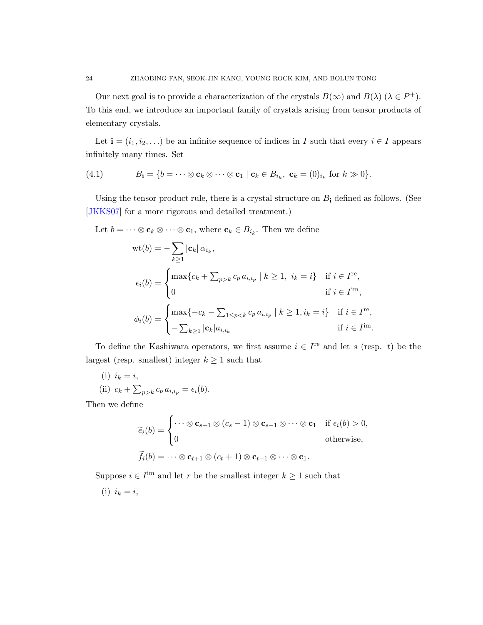Our next goal is to provide a characterization of the crystals  $B(\infty)$  and  $B(\lambda)$  ( $\lambda \in P^+$ ). To this end, we introduce an important family of crystals arising from tensor products of elementary crystals.

Let  $\mathbf{i} = (i_1, i_2, \ldots)$  be an infinite sequence of indices in I such that every  $i \in I$  appears infinitely many times. Set

$$
(4.1) \tBi = \{b = \cdots \otimes c_k \otimes \cdots \otimes c_1 \mid c_k \in B_{i_k}, c_k = (0)_{i_k} \text{ for } k \gg 0\}.
$$

Using the tensor product rule, there is a crystal structure on  $B_i$  defined as follows. (See [\[JKKS07\]](#page-29-8) for a more rigorous and detailed treatment.)

Let  $b = \cdots \otimes \mathbf{c}_k \otimes \cdots \otimes \mathbf{c}_1$ , where  $\mathbf{c}_k \in B_{i_k}$ . Then we define

$$
\begin{aligned} \text{wt}(b) &= -\sum_{k\geq 1} |\mathbf{c}_k| \, \alpha_{i_k}, \\ \epsilon_i(b) &= \begin{cases} \max\{c_k + \sum_{p>k} c_p \, a_{i,i_p} \mid k \geq 1, \ i_k = i\} & \text{if } i \in I^{\text{re}}, \\ 0 & \text{if } i \in I^{\text{im}}, \end{cases} \\ \phi_i(b) &= \begin{cases} \max\{-c_k - \sum_{1 \leq p < k} c_p \, a_{i,i_p} \mid k \geq 1, i_k = i\} & \text{if } i \in I^{\text{re}}, \\ -\sum_{k \geq 1} |\mathbf{c}_k| a_{i,i_k} & \text{if } i \in I^{\text{im}}. \end{cases} \end{aligned}
$$

To define the Kashiwara operators, we first assume  $i \in I^{\text{re}}$  and let s (resp. t) be the largest (resp. smallest) integer  $k \geq 1$  such that

(i) 
$$
i_k = i
$$
,  
(ii)  $c_k + \sum_{p>k} c_p a_{i,i_p} = \epsilon_i(b)$ .

Then we define

$$
\widetilde{e}_i(b) = \begin{cases}\n\cdots \otimes \mathbf{c}_{s+1} \otimes (c_s - 1) \otimes \mathbf{c}_{s-1} \otimes \cdots \otimes \mathbf{c}_1 & \text{if } \epsilon_i(b) > 0, \\
0 & \text{otherwise,} \end{cases}
$$
\n
$$
\widetilde{f}_i(b) = \cdots \otimes \mathbf{c}_{t+1} \otimes (c_t + 1) \otimes \mathbf{c}_{t-1} \otimes \cdots \otimes \mathbf{c}_1.
$$

Suppose  $i \in I^{\text{im}}$  and let r be the smallest integer  $k \geq 1$  such that

(i)  $i_k = i$ ,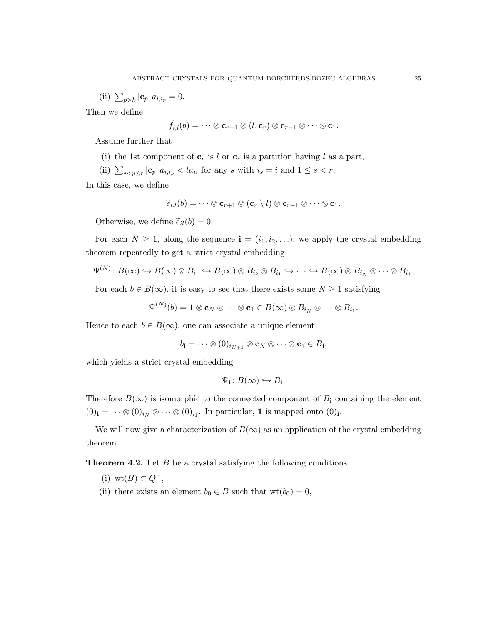(ii)  $\sum_{p>k} |c_p| a_{i,i_p} = 0.$ 

Then we define

$$
\tilde{f}_{i,l}(b)=\cdots\otimes\mathbf{c}_{r+1}\otimes (l,\mathbf{c}_r)\otimes\mathbf{c}_{r-1}\otimes\cdots\otimes\mathbf{c}_1.
$$

Assume further that

- (i) the 1st component of  $\mathbf{c}_r$  is l or  $\mathbf{c}_r$  is a partition having l as a part,
- (ii)  $\sum_{s < p \le r} |\mathbf{c}_p| a_{i,i_p} < l a_{ii}$  for any s with  $i_s = i$  and  $1 \le s < r$ .

In this case, we define

$$
\widetilde{e}_{i,l}(b)=\cdots\otimes\mathbf{c}_{r+1}\otimes(\mathbf{c}_r\setminus l)\otimes\mathbf{c}_{r-1}\otimes\cdots\otimes\mathbf{c}_1.
$$

Otherwise, we define  $\tilde{e}_{il}(b) = 0$ .

For each  $N \geq 1$ , along the sequence  $\mathbf{i} = (i_1, i_2, \ldots)$ , we apply the crystal embedding theorem repeatedly to get a strict crystal embedding

$$
\Psi^{(N)}\colon B(\infty)\hookrightarrow B(\infty)\otimes B_{i_1}\hookrightarrow B(\infty)\otimes B_{i_2}\otimes B_{i_1}\hookrightarrow\cdots\hookrightarrow B(\infty)\otimes B_{i_N}\otimes\cdots\otimes B_{i_1}.
$$

For each  $b \in B(\infty)$ , it is easy to see that there exists some  $N \geq 1$  satisfying

$$
\Psi^{(N)}(b) = \mathbf{1} \otimes \mathbf{c}_N \otimes \cdots \otimes \mathbf{c}_1 \in B(\infty) \otimes B_{i_N} \otimes \cdots \otimes B_{i_1}.
$$

Hence to each  $b \in B(\infty)$ , one can associate a unique element

$$
b_{\mathbf{i}} = \cdots \otimes (0)_{i_{N+1}} \otimes \mathbf{c}_N \otimes \cdots \otimes \mathbf{c}_1 \in B_{\mathbf{i}},
$$

which yields a strict crystal embedding

$$
\Psi_{\mathbf{i}}\colon B(\infty)\hookrightarrow B_{\mathbf{i}}.
$$

Therefore  $B(\infty)$  is isomorphic to the connected component of  $B_i$  containing the element  $(0)_{i} = \cdots \otimes (0)_{i_{N}} \otimes \cdots \otimes (0)_{i_{1}}$ . In particular, 1 is mapped onto  $(0)_{i}$ .

We will now give a characterization of  $B(\infty)$  as an application of the crystal embedding theorem.

**Theorem 4.2.** Let B be a crystal satisfying the following conditions.

- (i) wt( $B$ ) ⊂  $Q^-$ ,
- (ii) there exists an element  $b_0 \in B$  such that  $\text{wt}(b_0) = 0$ ,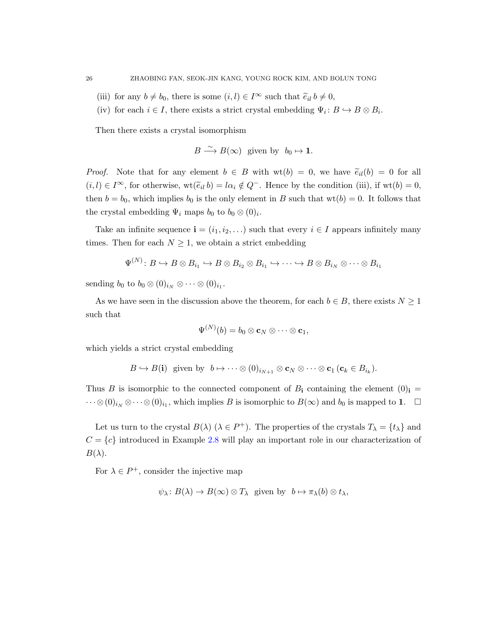- (iii) for any  $b \neq b_0$ , there is some  $(i, l) \in I^{\infty}$  such that  $\tilde{e}_{il} b \neq 0$ ,
- (iv) for each  $i \in I$ , there exists a strict crystal embedding  $\Psi_i: B \hookrightarrow B \otimes B_i$ .

Then there exists a crystal isomorphism

$$
B \xrightarrow{\sim} B(\infty) \text{ given by } b_0 \mapsto \mathbf{1}.
$$

*Proof.* Note that for any element  $b \in B$  with  $wt(b) = 0$ , we have  $\tilde{e}_{il}(b) = 0$  for all  $(i, l) \in I^{\infty}$ , for otherwise,  $\operatorname{wt}(\widetilde{e}_{il} b) = l\alpha_i \notin Q^-$ . Hence by the condition (iii), if  $\operatorname{wt}(b) = 0$ , then  $b = b_0$ , which implies  $b_0$  is the only element in B such that  $wt(b) = 0$ . It follows that the crystal embedding  $\Psi_i$  maps  $b_0$  to  $b_0 \otimes (0)_i$ .

Take an infinite sequence  $\mathbf{i} = (i_1, i_2, \ldots)$  such that every  $i \in I$  appears infinitely many times. Then for each  $N \geq 1$ , we obtain a strict embedding

$$
\Psi^{(N)}\colon B\hookrightarrow B\otimes B_{i_1}\hookrightarrow B\otimes B_{i_2}\otimes B_{i_1}\hookrightarrow\cdots\hookrightarrow B\otimes B_{i_N}\otimes\cdots\otimes B_{i_1}
$$

sending  $b_0$  to  $b_0 \otimes (0)_{i_N} \otimes \cdots \otimes (0)_{i_1}$ .

As we have seen in the discussion above the theorem, for each  $b \in B$ , there exists  $N \geq 1$ such that

$$
\Psi^{(N)}(b)=b_0\otimes {\bf c}_N\otimes\cdots\otimes {\bf c}_1,
$$

which yields a strict crystal embedding

$$
B \hookrightarrow B(\mathbf{i}) \text{ given by } b \mapsto \cdots \otimes (0)_{i_{N+1}} \otimes \mathbf{c}_N \otimes \cdots \otimes \mathbf{c}_1 \, (\mathbf{c}_k \in B_{i_k}).
$$

Thus B is isomorphic to the connected component of  $B_i$  containing the element  $(0)_i$  =  $\dots \otimes (0)_{i_N} \otimes \dots \otimes (0)_{i_1}$ , which implies B is isomorphic to  $B(\infty)$  and  $b_0$  is mapped to 1.  $\Box$ 

Let us turn to the crystal  $B(\lambda)$   $(\lambda \in P^+)$ . The properties of the crystals  $T_{\lambda} = \{t_{\lambda}\}\$ and  $C = \{c\}$  introduced in Example [2.8](#page-12-1) will play an important role in our characterization of  $B(\lambda)$ .

For  $\lambda \in P^+$ , consider the injective map

$$
\psi_{\lambda}: B(\lambda) \to B(\infty) \otimes T_{\lambda}
$$
 given by  $b \mapsto \pi_{\lambda}(b) \otimes t_{\lambda}$ ,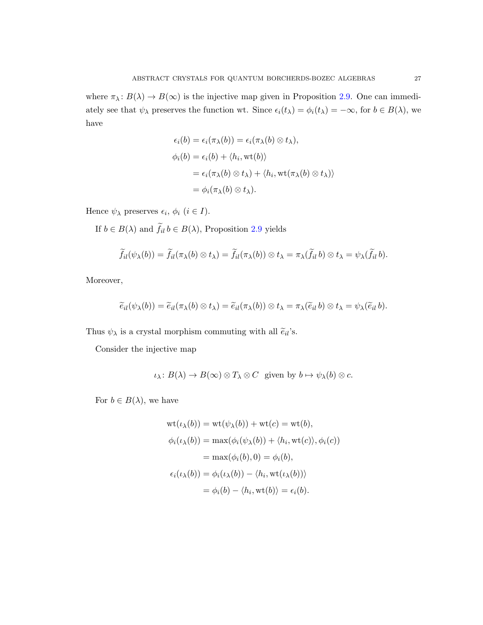where  $\pi_{\lambda} : B(\lambda) \to B(\infty)$  is the injective map given in Proposition [2.9.](#page-13-0) One can immediately see that  $\psi_{\lambda}$  preserves the function wt. Since  $\epsilon_i(t_{\lambda}) = \phi_i(t_{\lambda}) = -\infty$ , for  $b \in B(\lambda)$ , we have

$$
\epsilon_i(b) = \epsilon_i(\pi_\lambda(b)) = \epsilon_i(\pi_\lambda(b) \otimes t_\lambda),
$$
  
\n
$$
\phi_i(b) = \epsilon_i(b) + \langle h_i, \text{wt}(b) \rangle
$$
  
\n
$$
= \epsilon_i(\pi_\lambda(b) \otimes t_\lambda) + \langle h_i, \text{wt}(\pi_\lambda(b) \otimes t_\lambda) \rangle
$$
  
\n
$$
= \phi_i(\pi_\lambda(b) \otimes t_\lambda).
$$

Hence  $\psi_{\lambda}$  preserves  $\epsilon_i$ ,  $\phi_i$   $(i \in I)$ .

If  $b \in B(\lambda)$  and  $f_{il} b \in B(\lambda)$ , Proposition [2.9](#page-13-0) yields

$$
\widetilde{f}_{il}(\psi_{\lambda}(b)) = \widetilde{f}_{il}(\pi_{\lambda}(b) \otimes t_{\lambda}) = \widetilde{f}_{il}(\pi_{\lambda}(b)) \otimes t_{\lambda} = \pi_{\lambda}(\widetilde{f}_{il} b) \otimes t_{\lambda} = \psi_{\lambda}(\widetilde{f}_{il} b).
$$

Moreover,

$$
\widetilde{e}_{il}(\psi_{\lambda}(b)) = \widetilde{e}_{il}(\pi_{\lambda}(b) \otimes t_{\lambda}) = \widetilde{e}_{il}(\pi_{\lambda}(b)) \otimes t_{\lambda} = \pi_{\lambda}(\widetilde{e}_{il} b) \otimes t_{\lambda} = \psi_{\lambda}(\widetilde{e}_{il} b).
$$

Thus  $\psi_\lambda$  is a crystal morphism commuting with all  $\widetilde{e}_{il}$  's.

Consider the injective map

$$
\iota_{\lambda}: B(\lambda) \to B(\infty) \otimes T_{\lambda} \otimes C \text{ given by } b \mapsto \psi_{\lambda}(b) \otimes c.
$$

For  $b \in B(\lambda)$ , we have

$$
wt(\iota_{\lambda}(b)) = wt(\psi_{\lambda}(b)) + wt(c) = wt(b),
$$
  
\n
$$
\phi_i(\iota_{\lambda}(b)) = max(\phi_i(\psi_{\lambda}(b)) + \langle h_i, wt(c) \rangle, \phi_i(c))
$$
  
\n
$$
= max(\phi_i(b), 0) = \phi_i(b),
$$
  
\n
$$
\epsilon_i(\iota_{\lambda}(b)) = \phi_i(\iota_{\lambda}(b)) - \langle h_i, wt(\iota_{\lambda}(b)) \rangle
$$
  
\n
$$
= \phi_i(b) - \langle h_i, wt(b) \rangle = \epsilon_i(b).
$$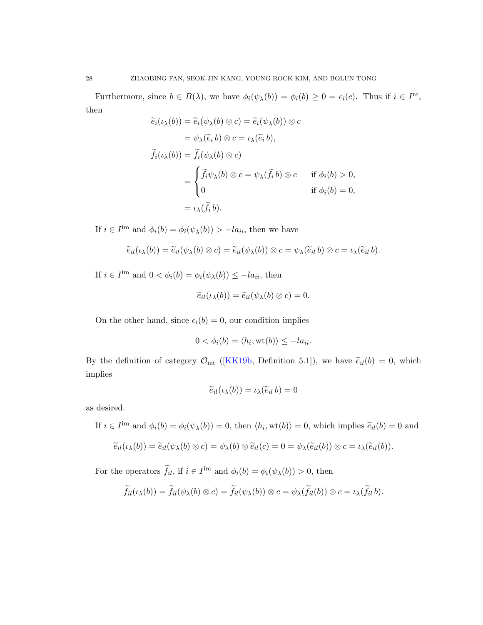Furthermore, since  $b \in B(\lambda)$ , we have  $\phi_i(\psi_\lambda(b)) = \phi_i(b) \geq 0 = \epsilon_i(c)$ . Thus if  $i \in I^{\text{re}}$ , then

$$
\widetilde{e}_i(\iota_\lambda(b)) = \widetilde{e}_i(\psi_\lambda(b) \otimes c) = \widetilde{e}_i(\psi_\lambda(b)) \otimes c
$$
  
\n
$$
= \psi_\lambda(\widetilde{e}_i b) \otimes c = \iota_\lambda(\widetilde{e}_i b),
$$
  
\n
$$
\widetilde{f}_i(\iota_\lambda(b)) = \widetilde{f}_i(\psi_\lambda(b) \otimes c)
$$
  
\n
$$
= \begin{cases}\n\widetilde{f}_i\psi_\lambda(b) \otimes c = \psi_\lambda(\widetilde{f}_i b) \otimes c & \text{if } \phi_i(b) > 0, \\
0 & \text{if } \phi_i(b) = 0, \\
0 & \text{if } \phi_i(b) = 0,\n\end{cases}
$$

If  $i \in I^{\text{im}}$  and  $\phi_i(b) = \phi_i(\psi_\lambda(b)) > -la_{ii}$ , then we have

$$
\widetilde{e}_{il}(\iota_\lambda(b)) = \widetilde{e}_{il}(\psi_\lambda(b) \otimes c) = \widetilde{e}_{il}(\psi_\lambda(b)) \otimes c = \psi_\lambda(\widetilde{e}_{il} b) \otimes c = \iota_\lambda(\widetilde{e}_{il} b).
$$

If  $i \in I^{\text{im}}$  and  $0 < \phi_i(b) = \phi_i(\psi_\lambda(b)) \le -l a_{ii}$ , then

$$
\widetilde{e}_{il}(\iota_{\lambda}(b)) = \widetilde{e}_{il}(\psi_{\lambda}(b) \otimes c) = 0.
$$

On the other hand, since  $\epsilon_i(b) = 0$ , our condition implies

$$
0 < \phi_i(b) = \langle h_i, \text{wt}(b) \rangle \le -l a_{ii}.
$$

By the definition of category  $\mathcal{O}_{int}$  ([\[KK19b,](#page-29-15) Definition 5.1]), we have  $\tilde{e}_{il}(b) = 0$ , which implies

$$
\widetilde{e}_{il}(\iota_{\lambda}(b)) = \iota_{\lambda}(\widetilde{e}_{il}\,b) = 0
$$

as desired.

If  $i \in I^{\text{im}}$  and  $\phi_i(b) = \phi_i(\psi_\lambda(b)) = 0$ , then  $\langle h_i, \text{wt}(b) \rangle = 0$ , which implies  $\tilde{e}_{il}(b) = 0$  and

$$
\widetilde{e}_{il}(\iota_{\lambda}(b)) = \widetilde{e}_{il}(\psi_{\lambda}(b) \otimes c) = \psi_{\lambda}(b) \otimes \widetilde{e}_{il}(c) = 0 = \psi_{\lambda}(\widetilde{e}_{il}(b)) \otimes c = \iota_{\lambda}(\widetilde{e}_{il}(b)).
$$

For the operators  $\tilde{f}_{il}$ , if  $i \in I^{\text{im}}$  and  $\phi_i(b) = \phi_i(\psi_\lambda(b)) > 0$ , then

$$
\widetilde{f}_{il}(\iota_\lambda(b)) = \widetilde{f}_{il}(\psi_\lambda(b) \otimes c) = \widetilde{f}_{il}(\psi_\lambda(b)) \otimes c = \psi_\lambda(\widetilde{f}_{il}(b)) \otimes c = \iota_\lambda(\widetilde{f}_{il}(b).
$$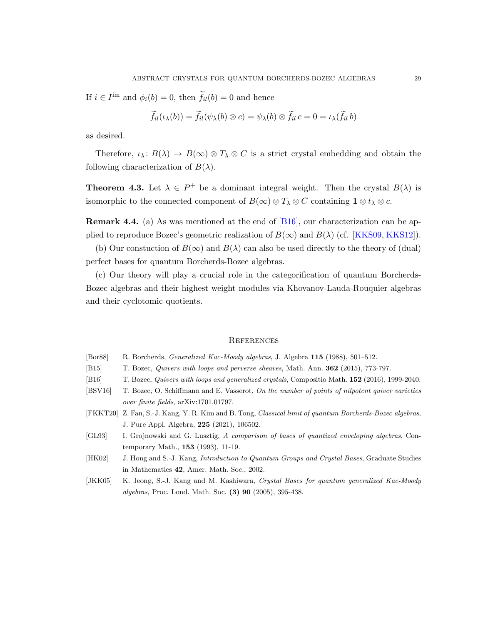If  $i \in I^{\text{im}}$  and  $\phi_i(b) = 0$ , then  $\tilde{f}_{il}(b) = 0$  and hence

$$
\widetilde{f}_{il}(\iota_\lambda(b)) = \widetilde{f}_{il}(\psi_\lambda(b) \otimes c) = \psi_\lambda(b) \otimes \widetilde{f}_{il} \, c = 0 = \iota_\lambda(\widetilde{f}_{il} \, b)
$$

as desired.

Therefore,  $\iota_\lambda: B(\lambda) \to B(\infty) \otimes T_\lambda \otimes C$  is a strict crystal embedding and obtain the following characterization of  $B(\lambda)$ .

**Theorem 4.3.** Let  $\lambda \in P^+$  be a dominant integral weight. Then the crystal  $B(\lambda)$  is isomorphic to the connected component of  $B(\infty) \otimes T_\lambda \otimes C$  containing  $\mathbf{1} \otimes t_\lambda \otimes c$ .

Remark 4.4. (a) As was mentioned at the end of [\[B16\]](#page-28-3), our characterization can be applied to reproduce Bozec's geometric realization of  $B(\infty)$  and  $B(\lambda)$  (cf. [\[KKS09,](#page-29-11) [KKS12\]](#page-29-12)).

(b) Our constuction of  $B(\infty)$  and  $B(\lambda)$  can also be used directly to the theory of (dual) perfect bases for quantum Borcherds-Bozec algebras.

(c) Our theory will play a crucial role in the categorification of quantum Borcherds-Bozec algebras and their highest weight modules via Khovanov-Lauda-Rouquier algebras and their cyclotomic quotients.

#### <span id="page-28-0"></span>**REFERENCES**

- <span id="page-28-1"></span>[Bor88] R. Borcherds, Generalized Kac-Moody algebras, J. Algebra 115 (1988), 501–512.
- <span id="page-28-2"></span>[B15] T. Bozec, Quivers with loops and perverse sheaves, Math. Ann. 362 (2015), 773-797.
- <span id="page-28-3"></span>[B16] T. Bozec, Quivers with loops and generalized crystals, Compositio Math. 152 (2016), 1999-2040.
- <span id="page-28-4"></span>[BSV16] T. Bozec, O. Schiffmann and E. Vasserot, On the number of points of nilpotent quiver varieties over finite fields, arXiv:1701.01797.
- <span id="page-28-5"></span>[FKKT20] Z. Fan, S.-J. Kang, Y. R. Kim and B. Tong, Classical limit of quantum Borcherds-Bozec algebras, J. Pure Appl. Algebra, 225 (2021), 106502.
- <span id="page-28-6"></span>[GL93] I. Grojnowski and G. Lusztig, A comparison of bases of quantized enveloping algebras, Contemporary Math., 153 (1993), 11-19.
- [HK02] J. Hong and S.-J. Kang, Introduction to Quantum Groups and Crystal Bases, Graduate Studies in Mathematics 42, Amer. Math. Soc., 2002.
- <span id="page-28-7"></span>[JKK05] K. Jeong, S.-J. Kang and M. Kashiwara, Crystal Bases for quantum generalized Kac-Moody algebras, Proc. Lond. Math. Soc. (3) 90 (2005), 395-438.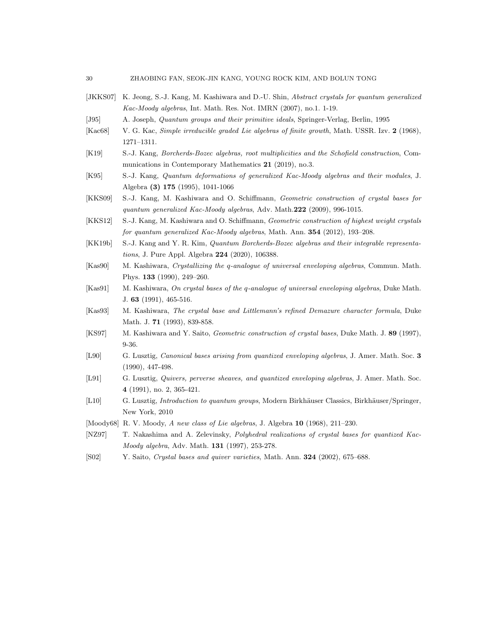- <span id="page-29-13"></span><span id="page-29-8"></span><span id="page-29-0"></span>[JKKS07] K. Jeong, S.-J. Kang, M. Kashiwara and D.-U. Shin, Abstract crystals for quantum generalized Kac-Moody algebras, Int. Math. Res. Not. IMRN (2007), no.1. 1-19. [J95] A. Joseph, Quantum groups and their primitive ideals, Springer-Verlag, Berlin, 1995 [Kac68] V. G. Kac, Simple irreducible graded Lie algebras of finite growth, Math. USSR. Izv. 2 (1968), 1271–1311. [K19] S.-J. Kang, Borcherds-Bozec algebras, root multiplicities and the Schofield construction, Communications in Contemporary Mathematics 21 (2019), no.3.
- <span id="page-29-2"></span>[K95] S.-J. Kang, Quantum deformations of generalized Kac-Moody algebras and their modules, J. Algebra (3) 175 (1995), 1041-1066
- <span id="page-29-11"></span>[KKS09] S.-J. Kang, M. Kashiwara and O. Schiffmann, Geometric construction of crystal bases for quantum generalized Kac-Moody algebras, Adv. Math.222 (2009), 996-1015.
- <span id="page-29-12"></span>[KKS12] S.-J. Kang, M. Kashiwara and O. Schiffmann, Geometric construction of highest weight crystals for quantum generalized Kac-Moody algebras, Math. Ann. 354 (2012), 193-208.
- <span id="page-29-15"></span>[KK19b] S.-J. Kang and Y. R. Kim, Quantum Borcherds-Bozec algebras and their integrable representations, J. Pure Appl. Algebra 224 (2020), 106388.
- <span id="page-29-6"></span>[Kas90] M. Kashiwara, Crystallizing the q-analogue of universal enveloping algebras, Commun. Math. Phys. 133 (1990), 249–260.
- <span id="page-29-7"></span>[Kas91] M. Kashiwara, On crystal bases of the q-analogue of universal enveloping algebras, Duke Math. J. 63 (1991), 465-516.
- <span id="page-29-14"></span>[Kas93] M. Kashiwara, The crystal base and Littlemann's refined Demazure character formula, Duke Math. J. **71** (1993), 839-858.
- <span id="page-29-9"></span>[KS97] M. Kashiwara and Y. Saito, Geometric construction of crystal bases, Duke Math. J. 89 (1997), 9-36.
- <span id="page-29-3"></span>[L90] G. Lusztig, *Canonical bases arising from quantized enveloping algebras*, J. Amer. Math. Soc. 3 (1990), 447-498.
- <span id="page-29-4"></span>[L91] G. Lusztig, Quivers, perverse sheaves, and quantized enveloping algebras, J. Amer. Math. Soc. 4 (1991), no. 2, 365-421.
- <span id="page-29-5"></span>[L10] G. Lusztig, *Introduction to quantum groups*, Modern Birkhäuser Classics, Birkhäuser/Springer, New York, 2010
- <span id="page-29-1"></span>[Moody68] R. V. Moody, A new class of Lie algebras, J. Algebra 10 (1968), 211–230.
- [NZ97] T. Nakashima and A. Zelevinsky, Polyhedral realizations of crystal bases for quantized Kac-Moody algebra, Adv. Math. 131 (1997), 253-278.
- <span id="page-29-10"></span>[S02] Y. Saito, Crystal bases and quiver varieties, Math. Ann. 324 (2002), 675–688.